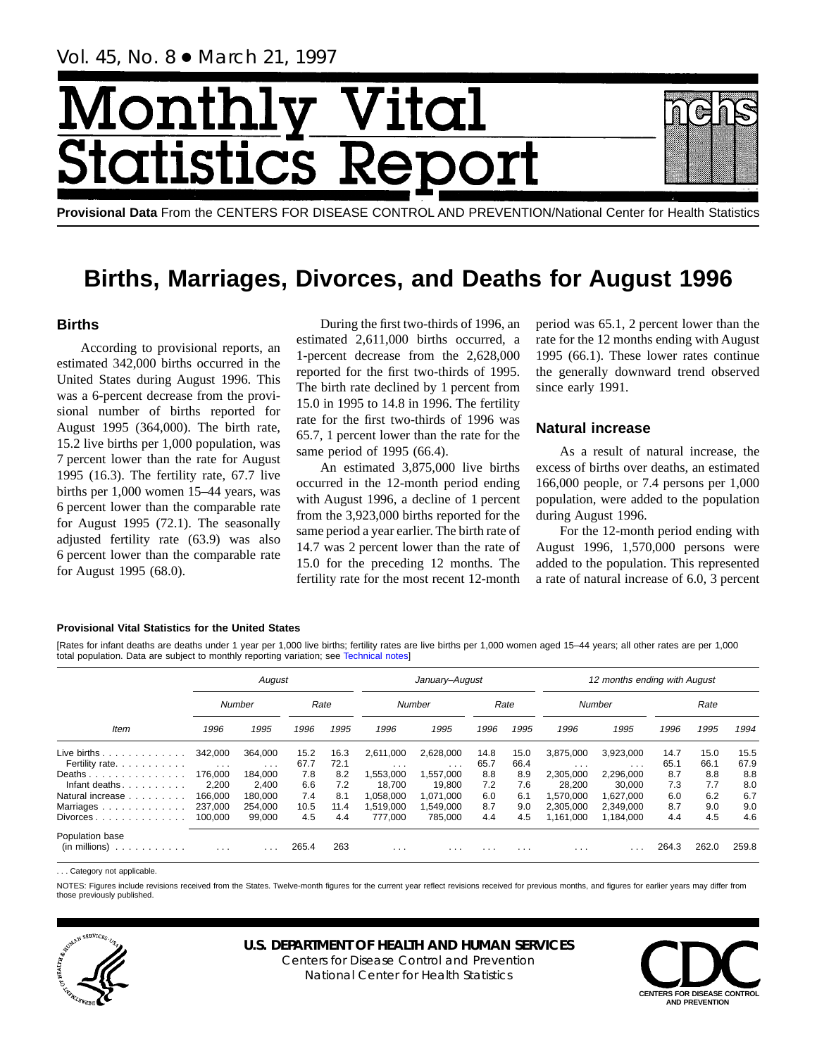# Month Vital tics Re **itatist**

**Provisional Data** From the CENTERS FOR DISEASE CONTROL AND PREVENTION/National Center for Health Statistics

## **Births, Marriages, Divorces, and Deaths for August 1996**

## **Births**

According to provisional reports, an estimated 342,000 births occurred in the United States during August 1996. This was a 6-percent decrease from the provisional number of births reported for August 1995 (364,000). The birth rate, 15.2 live births per 1,000 population, was 7 percent lower than the rate for August 1995 (16.3). The fertility rate, 67.7 live births per 1,000 women 15–44 years, was 6 percent lower than the comparable rate for August 1995 (72.1). The seasonally adjusted fertility rate (63.9) was also 6 percent lower than the comparable rate for August 1995 (68.0).

During the first two-thirds of 1996, an estimated 2,611,000 births occurred, a 1-percent decrease from the 2,628,000 reported for the first two-thirds of 1995. The birth rate declined by 1 percent from 15.0 in 1995 to 14.8 in 1996. The fertility rate for the first two-thirds of 1996 was 65.7, 1 percent lower than the rate for the same period of 1995 (66.4).

An estimated 3,875,000 live births occurred in the 12-month period ending with August 1996, a decline of 1 percent from the 3,923,000 births reported for the same period a year earlier. The birth rate of 14.7 was 2 percent lower than the rate of 15.0 for the preceding 12 months. The fertility rate for the most recent 12-month

period was 65.1, 2 percent lower than the rate for the 12 months ending with August 1995 (66.1). These lower rates continue the generally downward trend observed since early 1991.

## **Natural increase**

As a result of natural increase, the excess of births over deaths, an estimated 166,000 people, or 7.4 persons per 1,000 population, were added to the population during August 1996.

For the 12-month period ending with August 1996, 1,570,000 persons were added to the population. This represented a rate of natural increase of 6.0, 3 percent

#### **Provisional Vital Statistics for the United States**

[Rates for infant deaths are deaths under 1 year per 1,000 live births; fertility rates are live births per 1,000 women aged 15–44 years; all other rates are per 1,000 total population. Data are subject to monthly reporting variation; see [Technical notes\]](#page-16-0)

|                                                         |                      | August   |       |      |           | January-August |      |      | 12 months ending with August |           |       |       |       |  |  |
|---------------------------------------------------------|----------------------|----------|-------|------|-----------|----------------|------|------|------------------------------|-----------|-------|-------|-------|--|--|
|                                                         |                      | Number   | Rate  |      |           | Number         |      | Rate |                              | Number    |       | Rate  |       |  |  |
| <b>Item</b>                                             | 1996                 | 1995     | 1996  | 1995 | 1996      | 1995           | 1996 | 1995 | 1996                         | 1995      | 1996  | 1995  | 1994  |  |  |
| Live births $\ldots$                                    | 342.000              | 364.000  | 15.2  | 16.3 | 2,611,000 | 2,628,000      | 14.8 | 15.0 | 3,875,000                    | 3,923,000 | 14.7  | 15.0  | 15.5  |  |  |
| Fertility rate.                                         | $\sim$ $\sim$ $\sim$ | $\cdots$ | 67.7  | 72.1 | $\cdots$  | $\cdots$       | 65.7 | 66.4 | $\cdots$                     | $\cdots$  | 65.1  | 66.1  | 67.9  |  |  |
| Deaths                                                  | 176.000              | 184.000  | 7.8   | 8.2  | 1,553,000 | 1,557,000      | 8.8  | 8.9  | 2.305.000                    | 2,296,000 | 8.7   | 8.8   | 8.8   |  |  |
| Infant deaths.                                          | 2.200                | 2.400    | 6.6   | 7.2  | 18.700    | 19.800         | 7.2  | 7.6  | 28.200                       | 30.000    | 7.3   | 7.7   | 8.0   |  |  |
| Natural increase                                        | 166.000              | 180.000  | 7.4   | 8.1  | 1.058.000 | 1.071.000      | 6.0  | 6.1  | 1.570.000                    | 1.627.000 | 6.0   | 6.2   | 6.7   |  |  |
| Marriages                                               | 237,000              | 254.000  | 10.5  | 11.4 | 1.519.000 | 1,549,000      | 8.7  | 9.0  | 2.305.000                    | 2.349.000 | 8.7   | 9.0   | 9.0   |  |  |
| $Divorces \ldots \ldots \ldots \ldots$                  | 100.000              | 99,000   | 4.5   | 4.4  | 777.000   | 785.000        | 4.4  | 4.5  | 1.161.000                    | 1.184.000 | 4.4   | 4.5   | 4.6   |  |  |
| Population base<br>$(in$ millions $) \dots \dots \dots$ | $\cdots$             |          | 265.4 | 263  | .         | $\cdots$       | .    | .    | $\cdot$ $\cdot$ $\cdot$      |           | 264.3 | 262.0 | 259.8 |  |  |

. Category not applicable

NOTES: Figures include revisions received from the States. Twelve-month figures for the current year reflect revisions received for previous months, and figures for earlier years may differ from those previously published.



## **U.S. DEPARTMENT OF HEALTH AND HUMAN SERVICES**

Centers for Disease Control and Prevention National Center for Health Statistics

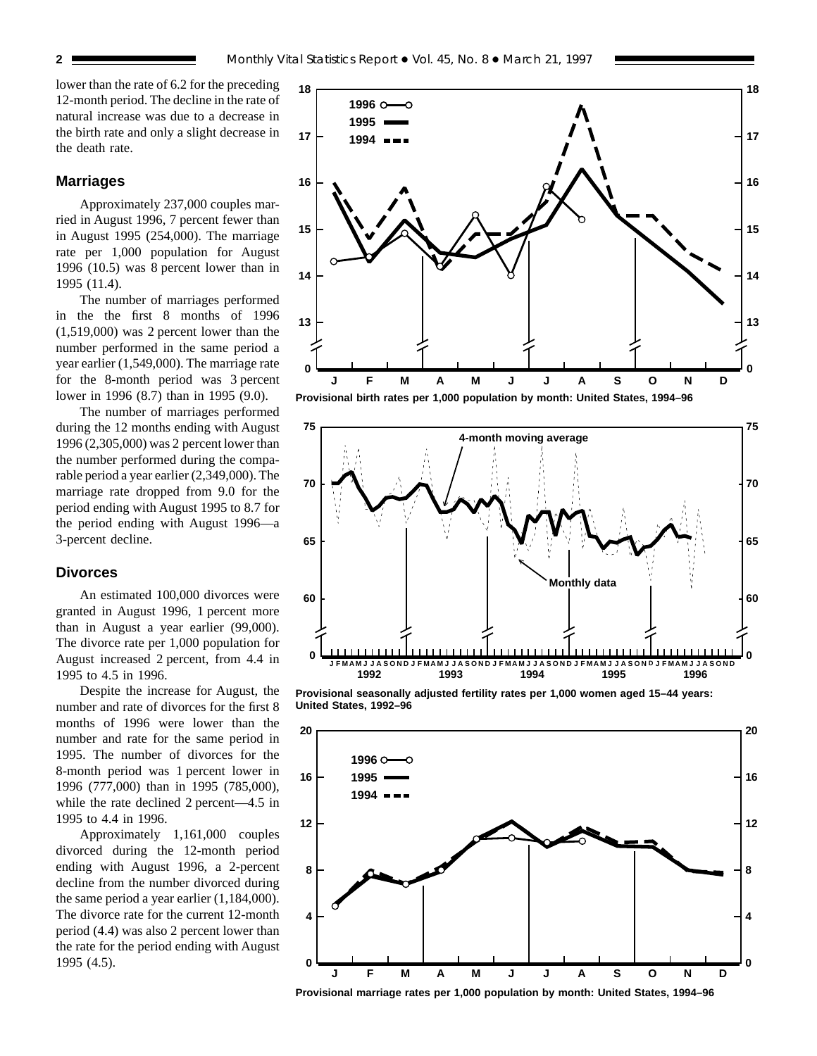lower than the rate of 6.2 for the preceding 12-month period. The decline in the rate of natural increase was due to a decrease in the birth rate and only a slight decrease in the death rate.

#### **Marriages**

Approximately 237,000 couples married in August 1996, 7 percent fewer than in August 1995 (254,000). The marriage rate per 1,000 population for August 1996 (10.5) was 8 percent lower than in 1995 (11.4).

The number of marriages performed in the the first 8 months of 1996 (1,519,000) was 2 percent lower than the number performed in the same period a year earlier (1,549,000). The marriage rate for the 8-month period was 3 percent lower in 1996 (8.7) than in 1995 (9.0).

The number of marriages performed during the 12 months ending with August 1996 (2,305,000) was 2 percent lower than the number performed during the comparable period a year earlier (2,349,000). The marriage rate dropped from 9.0 for the period ending with August 1995 to 8.7 for the period ending with August 1996—a 3-percent decline.

#### **Divorces**

An estimated 100,000 divorces were granted in August 1996, 1 percent more than in August a year earlier (99,000). The divorce rate per 1,000 population for August increased 2 percent, from 4.4 in 1995 to 4.5 in 1996.

Despite the increase for August, the number and rate of divorces for the first 8 months of 1996 were lower than the number and rate for the same period in 1995. The number of divorces for the 8-month period was 1 percent lower in 1996 (777,000) than in 1995 (785,000), while the rate declined 2 percent—4.5 in 1995 to 4.4 in 1996.

Approximately 1,161,000 couples divorced during the 12-month period ending with August 1996, a 2-percent decline from the number divorced during the same period a year earlier (1,184,000). The divorce rate for the current 12-month period (4.4) was also 2 percent lower than the rate for the period ending with August 1995 (4.5).





**Provisional seasonally adjusted fertility rates per 1,000 women aged 15–44 years: United States, 1992–96**



**Provisional marriage rates per 1,000 population by month: United States, 1994–96**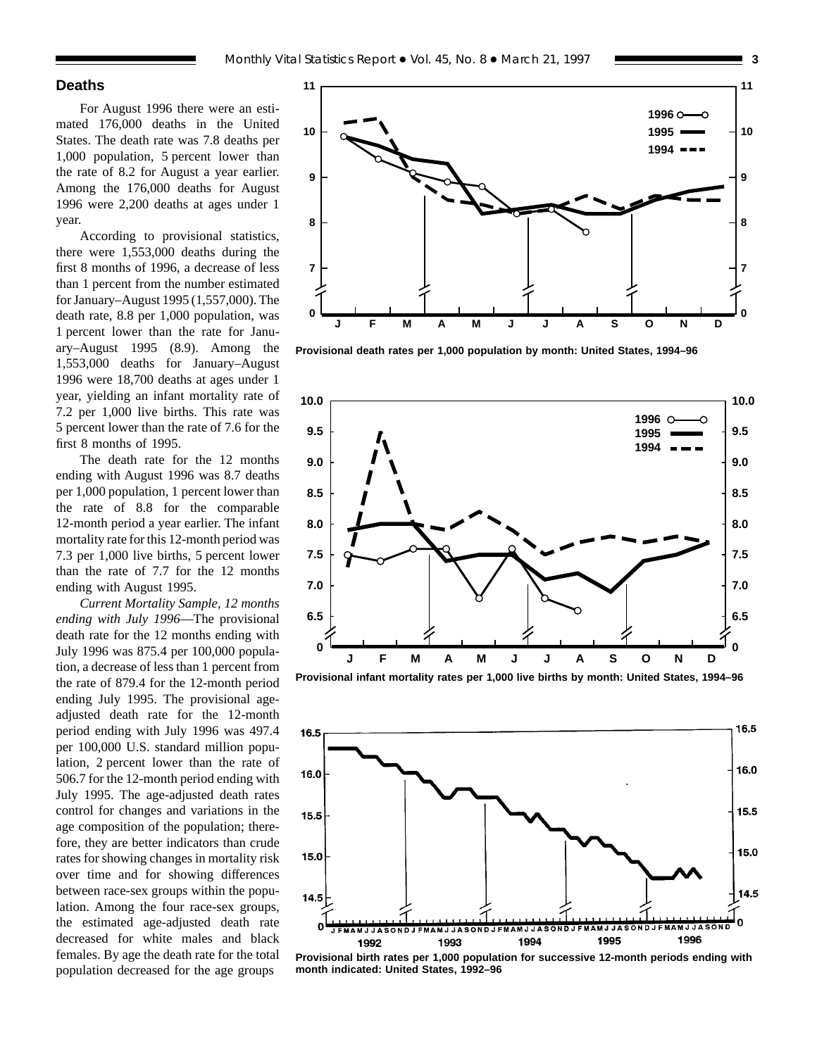## **Deaths**

For August 1996 there were an estimated 176,000 deaths in the United States. The death rate was 7.8 deaths per 1,000 population, 5 percent lower than the rate of 8.2 for August a year earlier. Among the 176,000 deaths for August 1996 were 2,200 deaths at ages under 1 year.

According to provisional statistics, there were 1,553,000 deaths during the first 8 months of 1996, a decrease of less than 1 percent from the number estimated for January–August 1995 (1,557,000). The death rate, 8.8 per 1,000 population, was 1 percent lower than the rate for January–August 1995 (8.9). Among the 1,553,000 deaths for January–August 1996 were 18,700 deaths at ages under 1 year, yielding an infant mortality rate of 7.2 per 1,000 live births. This rate was 5 percent lower than the rate of 7.6 for the first 8 months of 1995.

The death rate for the 12 months ending with August 1996 was 8.7 deaths per 1,000 population, 1 percent lower than the rate of 8.8 for the comparable 12-month period a year earlier. The infant mortality rate for this 12-month period was 7.3 per 1,000 live births, 5 percent lower than the rate of 7.7 for the 12 months ending with August 1995.

*Current Mortality Sample, 12 months ending with July 1996*—The provisional death rate for the 12 months ending with July 1996 was 875.4 per 100,000 population, a decrease of less than 1 percent from the rate of 879.4 for the 12-month period ending July 1995. The provisional ageadjusted death rate for the 12-month period ending with July 1996 was 497.4 per 100,000 U.S. standard million population, 2 percent lower than the rate of 506.7 for the 12-month period ending with July 1995. The age-adjusted death rates control for changes and variations in the age composition of the population; therefore, they are better indicators than crude rates for showing changes in mortality risk over time and for showing differences between race-sex groups within the population. Among the four race-sex groups, the estimated age-adjusted death rate decreased for white males and black females. By age the death rate for the total population decreased for the age groups



**Provisional death rates per 1,000 population by month: United States, 1994–96**



**Provisional infant mortality rates per 1,000 live births by month: United States, 1994–96**



**Provisional birth rates per 1,000 population for successive 12-month periods ending with month indicated: United States, 1992–96**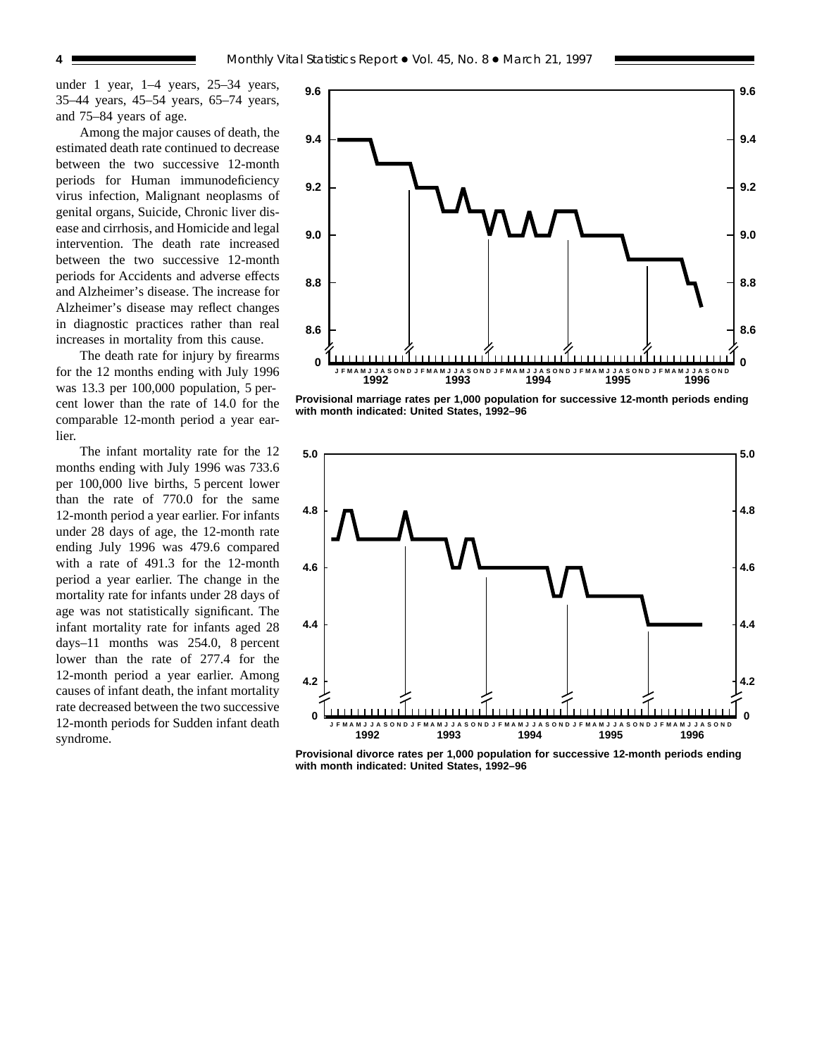under 1 year, 1–4 years, 25–34 years, 35–44 years, 45–54 years, 65–74 years, and 75–84 years of age.

Among the major causes of death, the estimated death rate continued to decrease between the two successive 12-month periods for Human immunodeficiency virus infection, Malignant neoplasms of genital organs, Suicide, Chronic liver disease and cirrhosis, and Homicide and legal intervention. The death rate increased between the two successive 12-month periods for Accidents and adverse effects and Alzheimer's disease. The increase for Alzheimer's disease may reflect changes in diagnostic practices rather than real increases in mortality from this cause.

The death rate for injury by firearms for the 12 months ending with July 1996 was 13.3 per 100,000 population, 5 percent lower than the rate of 14.0 for the comparable 12-month period a year earlier.

The infant mortality rate for the 12 months ending with July 1996 was 733.6 per 100,000 live births, 5 percent lower than the rate of 770.0 for the same 12-month period a year earlier. For infants under 28 days of age, the 12-month rate ending July 1996 was 479.6 compared with a rate of 491.3 for the 12-month period a year earlier. The change in the mortality rate for infants under 28 days of age was not statistically significant. The infant mortality rate for infants aged 28 days–11 months was 254.0, 8 percent lower than the rate of 277.4 for the 12-month period a year earlier. Among causes of infant death, the infant mortality rate decreased between the two successive 12-month periods for Sudden infant death syndrome.



**Provisional marriage rates per 1,000 population for successive 12-month periods ending with month indicated: United States, 1992–96**



**Provisional divorce rates per 1,000 population for successive 12-month periods ending with month indicated: United States, 1992–96**

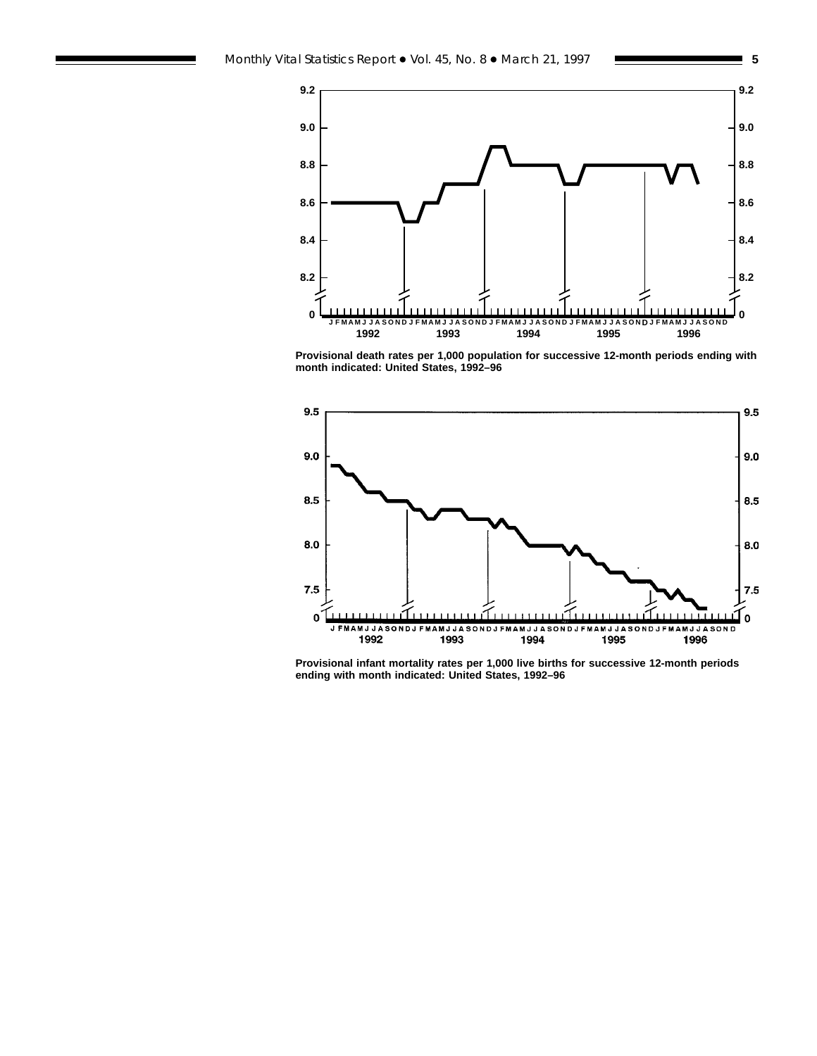



**Provisional death rates per 1,000 population for successive 12-month periods ending with month indicated: United States, 1992–96**



**Provisional infant mortality rates per 1,000 live births for successive 12-month periods ending with month indicated: United States, 1992–96**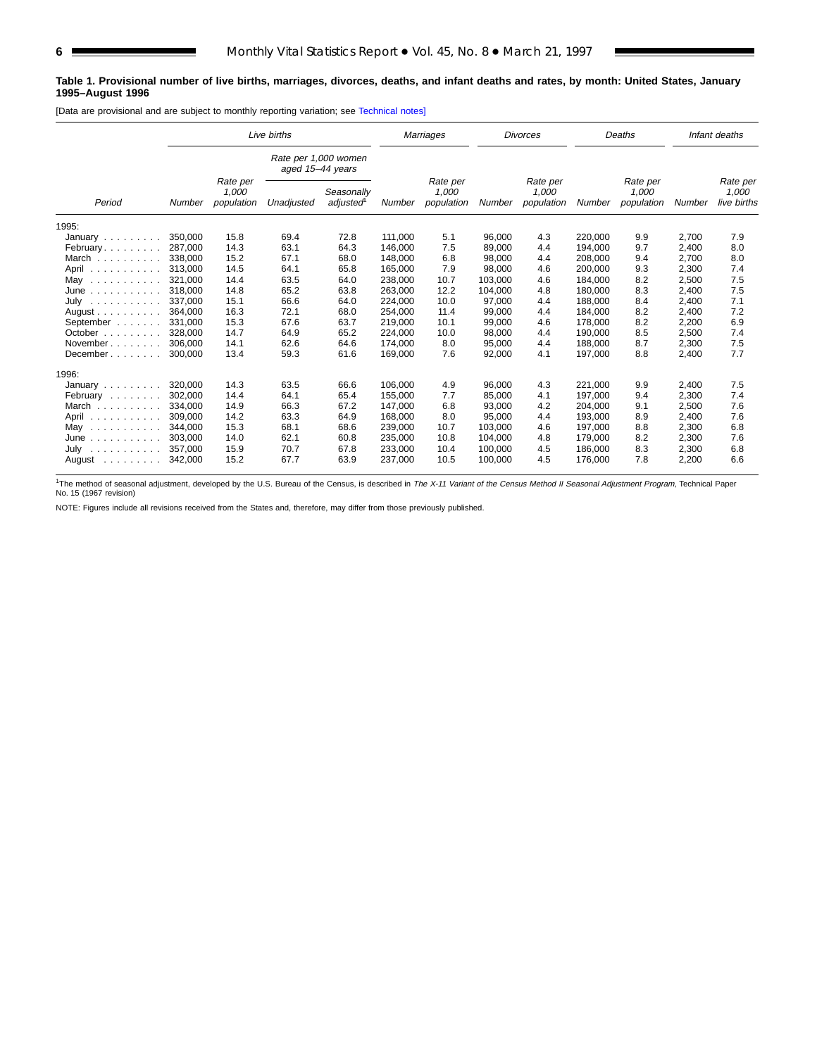#### **Table 1. Provisional number of live births, marriages, divorces, deaths, and infant deaths and rates, by month: United States, January 1995–August 1996**

[Data are provisional and are subject to monthly reporting variation; see [Technical notes\]](#page-16-0)

|                                | Live births |                                 |                                          |                        |         | Marriages                       | <b>Divorces</b> |                                 | Deaths  |                                 |        | Infant deaths                    |
|--------------------------------|-------------|---------------------------------|------------------------------------------|------------------------|---------|---------------------------------|-----------------|---------------------------------|---------|---------------------------------|--------|----------------------------------|
|                                |             |                                 | Rate per 1,000 women<br>aged 15-44 years |                        |         |                                 |                 |                                 |         |                                 |        |                                  |
| Period                         | Number      | Rate per<br>1,000<br>population | Unadjusted                               | Seasonally<br>adjusted | Number  | Rate per<br>1,000<br>population | Number          | Rate per<br>1,000<br>population | Number  | Rate per<br>1,000<br>population | Number | Rate per<br>1,000<br>live births |
| 1995:                          |             |                                 |                                          |                        |         |                                 |                 |                                 |         |                                 |        |                                  |
| January $\ldots \ldots \ldots$ | 350.000     | 15.8                            | 69.4                                     | 72.8                   | 111,000 | 5.1                             | 96,000          | 4.3                             | 220.000 | 9.9                             | 2,700  | 7.9                              |
| February                       | 287.000     | 14.3                            | 63.1                                     | 64.3                   | 146.000 | 7.5                             | 89.000          | 4.4                             | 194.000 | 9.7                             | 2,400  | 8.0                              |
| March                          | 338,000     | 15.2                            | 67.1                                     | 68.0                   | 148.000 | 6.8                             | 98,000          | 4.4                             | 208.000 | 9.4                             | 2.700  | 8.0                              |
| April<br>.                     | 313.000     | 14.5                            | 64.1                                     | 65.8                   | 165,000 | 7.9                             | 98,000          | 4.6                             | 200.000 | 9.3                             | 2,300  | 7.4                              |
| May<br>.                       | 321.000     | 14.4                            | 63.5                                     | 64.0                   | 238,000 | 10.7                            | 103,000         | 4.6                             | 184,000 | 8.2                             | 2,500  | 7.5                              |
| June<br>.                      | 318,000     | 14.8                            | 65.2                                     | 63.8                   | 263,000 | 12.2                            | 104,000         | 4.8                             | 180,000 | 8.3                             | 2,400  | 7.5                              |
| July<br>.                      | 337.000     | 15.1                            | 66.6                                     | 64.0                   | 224,000 | 10.0                            | 97,000          | 4.4                             | 188.000 | 8.4                             | 2,400  | 7.1                              |
| August $\ldots$ , $\ldots$     | 364,000     | 16.3                            | 72.1                                     | 68.0                   | 254,000 | 11.4                            | 99,000          | 4.4                             | 184,000 | 8.2                             | 2,400  | 7.2                              |
| September                      | 331,000     | 15.3                            | 67.6                                     | 63.7                   | 219,000 | 10.1                            | 99,000          | 4.6                             | 178,000 | 8.2                             | 2,200  | 6.9                              |
| October $\ldots$ , $\ldots$    | 328,000     | 14.7                            | 64.9                                     | 65.2                   | 224,000 | 10.0                            | 98,000          | 4.4                             | 190,000 | 8.5                             | 2,500  | 7.4                              |
| November                       | 306.000     | 14.1                            | 62.6                                     | 64.6                   | 174,000 | 8.0                             | 95,000          | 4.4                             | 188,000 | 8.7                             | 2,300  | 7.5                              |
| December                       | 300.000     | 13.4                            | 59.3                                     | 61.6                   | 169.000 | 7.6                             | 92,000          | 4.1                             | 197.000 | 8.8                             | 2.400  | 7.7                              |
| 1996:                          |             |                                 |                                          |                        |         |                                 |                 |                                 |         |                                 |        |                                  |
| January $\ldots$ , $\ldots$    | 320,000     | 14.3                            | 63.5                                     | 66.6                   | 106.000 | 4.9                             | 96.000          | 4.3                             | 221.000 | 9.9                             | 2.400  | 7.5                              |
| February                       | 302.000     | 14.4                            | 64.1                                     | 65.4                   | 155,000 | 7.7                             | 85,000          | 4.1                             | 197,000 | 9.4                             | 2,300  | 7.4                              |
| March                          | 334.000     | 14.9                            | 66.3                                     | 67.2                   | 147.000 | 6.8                             | 93,000          | 4.2                             | 204.000 | 9.1                             | 2,500  | 7.6                              |
| April<br>.                     | 309.000     | 14.2                            | 63.3                                     | 64.9                   | 168,000 | 8.0                             | 95,000          | 4.4                             | 193.000 | 8.9                             | 2,400  | 7.6                              |
| May<br>.                       | 344.000     | 15.3                            | 68.1                                     | 68.6                   | 239,000 | 10.7                            | 103.000         | 4.6                             | 197.000 | 8.8                             | 2,300  | 6.8                              |
| June<br>.                      | 303.000     | 14.0                            | 62.1                                     | 60.8                   | 235,000 | 10.8                            | 104.000         | 4.8                             | 179.000 | 8.2                             | 2,300  | 7.6                              |
| July                           | 357,000     | 15.9                            | 70.7                                     | 67.8                   | 233,000 | 10.4                            | 100,000         | 4.5                             | 186,000 | 8.3                             | 2,300  | 6.8                              |
| August                         | 342,000     | 15.2                            | 67.7                                     | 63.9                   | 237,000 | 10.5                            | 100,000         | 4.5                             | 176,000 | 7.8                             | 2,200  | 6.6                              |

<sup>1</sup>The method of seasonal adjustment, developed by the U.S. Bureau of the Census, is described in *The X-11 Variant of the Census Method II Seasonal Adjustment Program*, Technical Paper<br>No. 15 (1967 revision)

NOTE: Figures include all revisions received from the States and, therefore, may differ from those previously published.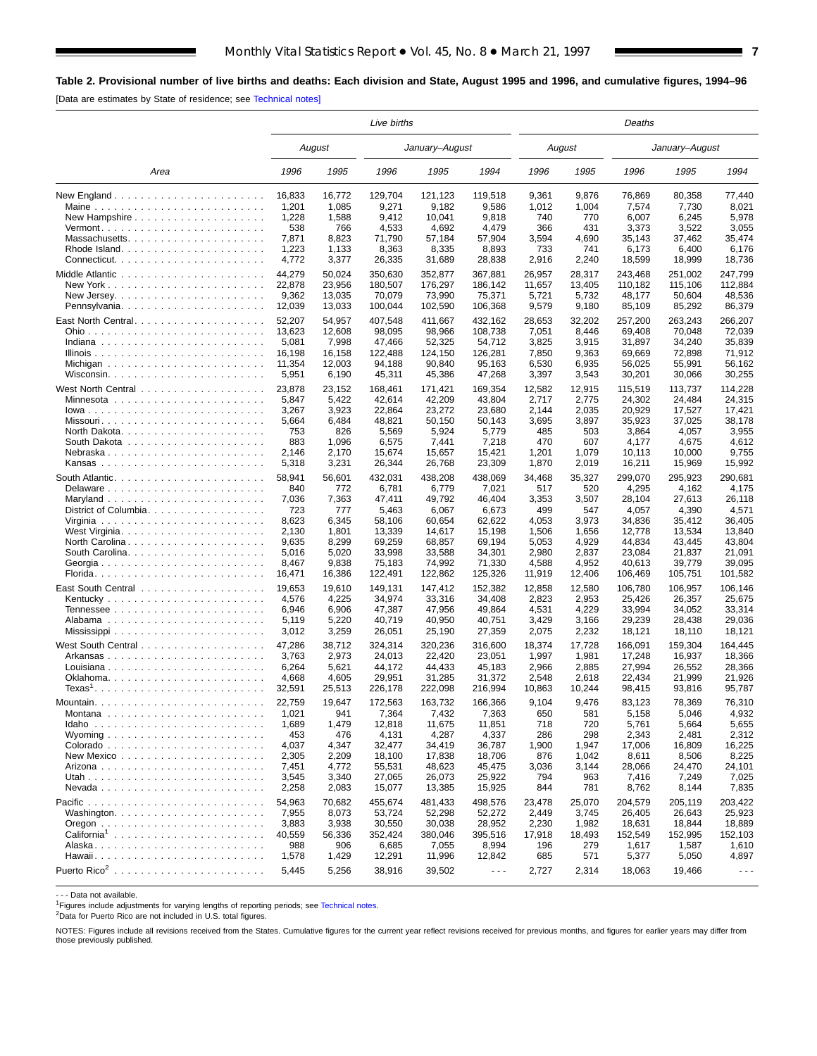<span id="page-6-0"></span>**Table 2. Provisional number of live births and deaths: Each division and State, August 1995 and 1996, and cumulative figures, 1994–96**

| [Data are estimates by State of residence; see Technical notes] |  |
|-----------------------------------------------------------------|--|
|-----------------------------------------------------------------|--|

|                                                                |        |        | Live births |                |                      |        |        | Deaths  |                |         |
|----------------------------------------------------------------|--------|--------|-------------|----------------|----------------------|--------|--------|---------|----------------|---------|
|                                                                |        | August |             | January-August |                      |        | August |         | January–August |         |
| Area                                                           | 1996   | 1995   | 1996        | 1995           | 1994                 | 1996   | 1995   | 1996    | 1995           | 1994    |
| New England $\ldots \ldots \ldots \ldots \ldots \ldots \ldots$ | 16,833 | 16,772 | 129,704     | 121,123        | 119,518              | 9,361  | 9,876  | 76,869  | 80,358         | 77.440  |
| Maine                                                          | 1,201  | 1,085  | 9,271       | 9,182          | 9,586                | 1,012  | 1,004  | 7,574   | 7,730          | 8,021   |
| New Hampshire $\ldots \ldots \ldots \ldots \ldots \ldots$      | 1,228  | 1,588  | 9,412       | 10,041         | 9,818                | 740    | 770    | 6,007   | 6,245          | 5,978   |
|                                                                | 538    | 766    | 4,533       | 4,692          | 4,479                | 366    | 431    | 3,373   | 3,522          | 3,055   |
| Massachusetts                                                  | 7,871  | 8,823  | 71,790      | 57,184         | 57,904               | 3,594  | 4,690  | 35,143  | 37,462         | 35,474  |
| Rhode Island                                                   | 1,223  | 1,133  | 8,363       | 8,335          | 8,893                | 733    | 741    | 6,173   | 6,400          | 6,176   |
|                                                                | 4,772  | 3,377  | 26,335      | 31,689         | 28,838               | 2,916  | 2,240  | 18,599  | 18,999         | 18,736  |
|                                                                | 44,279 | 50,024 | 350,630     | 352,877        | 367,881              | 26,957 | 28,317 | 243,468 | 251,002        | 247,799 |
|                                                                | 22,878 | 23,956 | 180,507     | 176,297        | 186,142              | 11,657 | 13,405 | 110,182 | 115,106        | 112,884 |
|                                                                | 9,362  | 13,035 | 70,079      | 73,990         | 75,371               | 5,721  | 5,732  | 48,177  | 50,604         | 48,536  |
| Pennsylvania                                                   | 12,039 | 13,033 | 100,044     | 102,590        | 106,368              | 9,579  | 9,180  | 85,109  | 85,292         | 86,379  |
| East North Central                                             | 52,207 | 54,957 | 407,548     | 411,667        | 432,162              | 28,653 | 32,202 | 257,200 | 263,243        | 266,207 |
|                                                                | 13,623 | 12,608 | 98,095      | 98,966         | 108,738              | 7,051  | 8,446  | 69,408  | 70,048         | 72,039  |
|                                                                | 5,081  | 7,998  | 47,466      | 52,325         | 54,712               | 3,825  | 3,915  | 31,897  | 34,240         | 35,839  |
|                                                                | 16,198 | 16,158 | 122,488     | 124,150        | 126,281              | 7,850  | 9,363  | 69,669  | 72,898         | 71,912  |
|                                                                | 11,354 | 12,003 | 94,188      | 90,840         | 95,163               | 6,530  | 6,935  | 56,025  | 55,991         | 56,162  |
|                                                                | 5,951  | 6,190  | 45,311      | 45,386         | 47,268               | 3,397  | 3,543  | 30,201  | 30,066         | 30,255  |
|                                                                | 23,878 | 23,152 | 168,461     | 171,421        | 169,354              | 12,582 | 12,915 | 115,519 | 113,737        | 114,228 |
|                                                                | 5,847  | 5,422  | 42,614      | 42,209         | 43,804               | 2,717  | 2,775  | 24,302  | 24,484         | 24,315  |
| $lowa$                                                         | 3,267  | 3,923  | 22,864      | 23.272         | 23,680               | 2,144  | 2,035  | 20,929  | 17,527         | 17,421  |
| Missouri                                                       | 5,664  | 6,484  | 48,821      | 50,150         | 50,143               | 3,695  | 3,897  | 35,923  | 37,025         | 38,178  |
|                                                                | 753    | 826    | 5,569       | 5,924          | 5,779                | 485    | 503    | 3,864   | 4,057          | 3,955   |
|                                                                | 883    | 1,096  | 6,575       | 7,441          | 7,218                | 470    | 607    | 4,177   | 4,675          | 4,612   |
| Nebraska                                                       | 2,146  | 2,170  | 15,674      | 15,657         | 15,421               | 1,201  | 1,079  | 10,113  | 10,000         | 9,755   |
|                                                                | 5,318  | 3,231  | 26,344      | 26,768         | 23,309               | 1,870  | 2,019  | 16,211  | 15,969         | 15,992  |
|                                                                | 58,941 | 56,601 | 432,031     | 438,208        | 438,069              | 34,468 | 35.327 | 299,070 | 295,923        | 290,681 |
|                                                                | 840    | 772    | 6,781       | 6,779          | 7,021                | 517    | 520    | 4,295   | 4,162          | 4,175   |
|                                                                | 7,036  | 7,363  | 47,411      | 49,792         | 46,404               | 3,353  | 3,507  | 28,104  | 27,613         | 26,118  |
| District of Columbia.                                          | 723    | 777    | 5,463       | 6,067          | 6,673                | 499    | 547    | 4,057   | 4,390          | 4,571   |
|                                                                | 8,623  | 6,345  | 58,106      | 60,654         | 62,622               | 4,053  | 3,973  | 34,836  | 35,412         | 36,405  |
|                                                                | 2,130  | 1,801  | 13,339      | 14,617         | 15,198               | 1,506  | 1,656  | 12,778  | 13,534         | 13,840  |
| North Carolina                                                 | 9,635  | 8,299  | 69,259      | 68,857         | 69,194               | 5,053  | 4,929  | 44,834  | 43,445         | 43,804  |
|                                                                | 5,016  | 5,020  | 33,998      | 33,588         | 34,301               | 2,980  | 2,837  | 23,084  | 21,837         | 21,091  |
| Georgia                                                        | 8,467  | 9,838  | 75,183      | 74,992         | 71,330               | 4,588  | 4,952  | 40,613  | 39,779         | 39,095  |
|                                                                | 16,471 | 16,386 | 122,491     | 122,862        | 125,326              | 11,919 | 12,406 | 106,469 | 105,751        | 101,582 |
|                                                                | 19,653 | 19,610 | 149,131     | 147,412        | 152,382              | 12,858 | 12,580 | 106,780 | 106,957        | 106,146 |
|                                                                | 4,576  | 4,225  | 34,974      | 33,316         | 34,408               | 2,823  | 2,953  | 25,426  | 26,357         | 25,675  |
|                                                                | 6,946  | 6,906  | 47,387      | 47,956         | 49,864               | 4,531  | 4,229  | 33,994  | 34,052         | 33,314  |
|                                                                | 5,119  | 5,220  | 40,719      | 40,950         | 40,751               | 3,429  | 3,166  | 29,239  | 28,438         | 29,036  |
|                                                                | 3,012  | 3,259  | 26,051      | 25,190         | 27,359               | 2,075  | 2,232  | 18,121  | 18,110         | 18,121  |
|                                                                | 47.286 | 38,712 | 324,314     | 320,236        | 316,600              | 18,374 | 17.728 | 166,091 | 159.304        | 164.445 |
| Arkansas                                                       | 3,763  | 2,973  | 24,013      | 22.420         | 23,051               | 1,997  | 1,981  | 17,248  | 16,937         | 18,366  |
| Louisiana                                                      | 6,264  | 5,621  | 44,172      | 44,433         | 45,183               | 2,966  | 2,885  | 27,994  | 26,552         | 28,366  |
|                                                                | 4,668  | 4,605  | 29,951      | 31,285         | 31,372               | 2,548  | 2,618  | 22,434  | 21,999         | 21,926  |
| $Texas1$                                                       | 32,591 | 25,513 | 226,178     | 222,098        | 216,994              | 10,863 | 10,244 | 98,415  | 93,816         | 95,787  |
|                                                                | 22,759 | 19,647 | 172,563     | 163,732        | 166,366              | 9,104  | 9,476  | 83,123  | 78,369         | 76,310  |
| Montana                                                        | 1,021  | 941    | 7,364       | 7,432          | 7,363                | 650    | 581    | 5,158   | 5,046          | 4,932   |
|                                                                | 1,689  | 1,479  | 12,818      | 11,675         | 11,851               | 718    | 720    | 5,761   | 5,664          | 5,655   |
|                                                                | 453    | 476    | 4,131       | 4,287          | 4,337                | 286    | 298    | 2,343   | 2,481          | 2,312   |
|                                                                | 4,037  | 4,347  | 32,477      | 34,419         | 36,787               | 1,900  | 1,947  | 17,006  | 16,809         | 16,225  |
|                                                                | 2,305  | 2,209  | 18,100      | 17,838         | 18,706               | 876    | 1,042  | 8,611   | 8,506          | 8,225   |
|                                                                | 7,451  | 4,772  | 55,531      | 48,623         | 45,475               | 3,036  | 3,144  | 28,066  | 24,470         | 24,101  |
|                                                                | 3,545  | 3,340  | 27,065      | 26,073         | 25,922               | 794    | 963    | 7,416   | 7,249          | 7,025   |
|                                                                | 2,258  | 2,083  | 15,077      | 13,385         | 15,925               | 844    | 781    | 8,762   | 8,144          | 7,835   |
|                                                                | 54,963 | 70,682 | 455,674     | 481,433        | 498,576              | 23,478 | 25,070 | 204,579 | 205,119        | 203,422 |
|                                                                | 7,955  | 8,073  | 53,724      | 52,298         | 52,272               | 2,449  | 3,745  | 26,405  | 26,643         | 25,923  |
|                                                                | 3,883  | 3,938  | 30,550      | 30,038         | 28,952               | 2,230  | 1,982  | 18,631  | 18,844         | 18,889  |
| California <sup>1</sup>                                        | 40,559 | 56,336 | 352,424     | 380,046        | 395,516              | 17,918 | 18,493 | 152,549 | 152,995        | 152,103 |
|                                                                | 988    | 906    | 6,685       | 7,055          | 8,994                | 196    | 279    | 1,617   | 1,587          | 1,610   |
|                                                                | 1,578  | 1,429  | 12,291      | 11,996         | 12,842               | 685    | 571    | 5,377   | 5,050          | 4,897   |
|                                                                | 5,445  | 5,256  | 38,916      | 39,502         | $\sim$ $\sim$ $\sim$ | 2,727  | 2,314  | 18,063  | 19,466         | $  -$   |

- - - Data not available.

<sup>1</sup>Figures include adjustments for varying lengths of reporting periods; see [Technical notes.](#page-16-0)

2Data for Puerto Rico are not included in U.S. total figures.

NOTES: Figures include all revisions received from the States. Cumulative figures for the current year reflect revisions received for previous months, and figures for earlier years may differ from those previously published.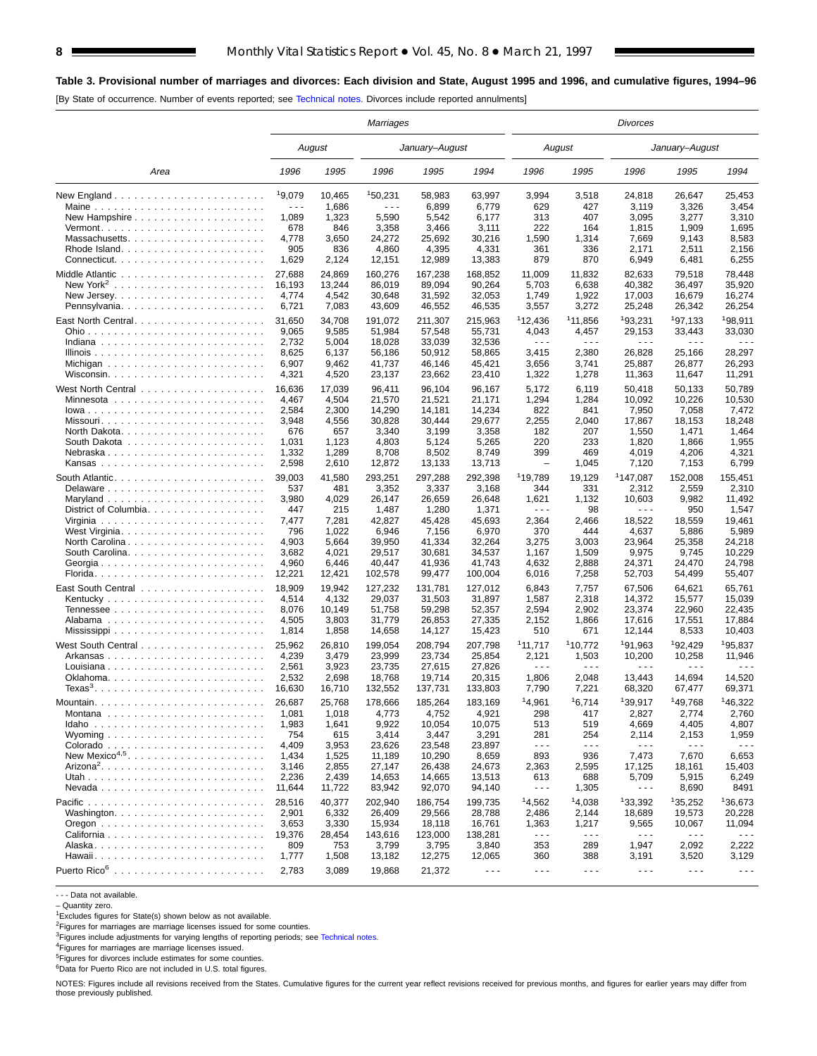## **Table 3. Provisional number of marriages and divorces: Each division and State, August 1995 and 1996, and cumulative figures, 1994–96**

[By State of occurrence. Number of events reported; see [Technical notes.](#page-16-0) Divorces include reported annulments]

|                           |                      |        | Marriages            |                |                      |                      |                      | <b>Divorces</b>      |                      |                      |
|---------------------------|----------------------|--------|----------------------|----------------|----------------------|----------------------|----------------------|----------------------|----------------------|----------------------|
|                           |                      | August |                      | January-August |                      |                      | August               |                      | January-August       |                      |
| Area                      | 1996                 | 1995   | 1996                 | 1995           | 1994                 | 1996                 | 1995                 | 1996                 | 1995                 | 1994                 |
|                           | 19,079               | 10,465 | 150,231              | 58,983         | 63.997               | 3,994                | 3,518                | 24,818               | 26.647               | 25,453               |
| Maine                     | $\sim$ $\sim$ $\sim$ | 1,686  | $\sim$ $\sim$ $\sim$ | 6,899          | 6,779                | 629                  | 427                  | 3,119                | 3,326                | 3,454                |
|                           | 1,089                | 1,323  | 5,590                | 5,542          | 6,177                | 313                  | 407                  | 3,095                | 3,277                | 3,310                |
|                           | 678                  | 846    | 3,358                | 3,466          | 3,111                | 222                  | 164                  | 1,815                | 1,909                | 1,695                |
| Massachusetts             | 4,778                | 3,650  | 24,272               | 25,692         | 30,216               | 1,590                | 1,314                | 7,669                | 9,143                | 8,583                |
|                           | 905                  | 836    | 4,860                | 4,395          | 4,331                | 361                  | 336                  | 2,171                | 2,511                | 2,156                |
|                           | 1,629                | 2,124  | 12,151               | 12,989         | 13,383               | 879                  | 870                  | 6,949                | 6,481                | 6,255                |
|                           | 27,688               | 24,869 | 160,276              | 167,238        | 168,852              | 11,009               | 11,832               | 82.633               | 79,518               | 78.448               |
| New York <sup>2</sup>     | 16.193               | 13,244 | 86,019               | 89,094         | 90,264               | 5,703                | 6,638                | 40,382               | 36,497               | 35,920               |
|                           | 4,774                | 4,542  | 30,648               | 31,592         | 32,053               | 1,749                | 1,922                | 17,003               | 16,679               | 16,274               |
| Pennsylvania              | 6,721                | 7,083  | 43,609               | 46,552         | 46,535               | 3,557                | 3,272                | 25,248               | 26,342               | 26,254               |
| East North Central        | 31,650               | 34,708 | 191,072              | 211,307        | 215,963              | 112,436              | <sup>1</sup> 11,856  | <sup>1</sup> 93,231  | 197,133              | 198,911              |
|                           | 9,065                | 9,585  | 51,984               | 57,548         | 55,731               | 4,043                | 4,457                | 29,153               | 33,443               | 33,030               |
|                           | 2,732                | 5,004  | 18,028               | 33,039         | 32,536               | $\sim$ $\sim$ $\sim$ | $\sim$ $\sim$ $\sim$ | $- - -$              | $\sim$ $\sim$ $\sim$ |                      |
|                           | 8,625                | 6,137  | 56,186               | 50,912         | 58,865               | 3,415                | 2,380                | 26,828               | 25,166               | 28,297               |
|                           | 6,907                | 9,462  | 41,737               | 46,146         | 45,421               | 3,656                | 3,741                | 25,887               | 26,877               | 26,293               |
|                           | 4,321                | 4,520  | 23,137               | 23,662         | 23,410               | 1,322                | 1,278                | 11,363               | 11,647               | 11,291               |
|                           | 16,636               | 17,039 | 96,411               | 96,104         | 96,167               | 5,172                | 6,119                | 50,418               | 50,133               | 50,789               |
|                           | 4,467                | 4,504  | 21,570               | 21,521         | 21.171               | 1,294                | 1,284                | 10,092               | 10,226               | 10,530               |
|                           | 2,584                | 2,300  | 14,290               | 14,181         | 14,234               | 822                  | 841                  | 7,950                | 7,058                | 7,472                |
| Missouri                  | 3,948                | 4,556  | 30,828               | 30,444         | 29,677               | 2,255                | 2,040                | 17,867               | 18,153               | 18,248               |
|                           | 676                  | 657    | 3,340                | 3,199          | 3,358                | 182                  | 207                  | 1,550                | 1,471                | 1,464                |
|                           | 1,031                | 1,123  | 4,803                | 5,124          | 5,265                | 220                  | 233                  | 1,820                | 1,866                | 1,955                |
| Nebraska                  | 1,332                | 1,289  | 8,708                | 8,502          | 8,749                | 399                  | 469                  | 4,019                | 4,206                | 4,321                |
| Kansas                    | 2,598                | 2,610  | 12,872               | 13,133         | 13,713               | $\qquad \qquad -$    | 1,045                | 7,120                | 7,153                | 6,799                |
|                           | 39,003               | 41,580 | 293,251              | 297,288        | 292,398              | <sup>1</sup> 19,789  | 19,129               | <sup>1</sup> 147,087 | 152,008              | 155,451              |
| Delaware                  | 537                  | 481    | 3,352                | 3,337          | 3,168                | 344                  | 331                  | 2,312                | 2,559                | 2,310                |
|                           | 3,980                | 4,029  | 26,147               | 26,659         | 26,648               | 1,621                | 1,132                | 10,603               | 9,982                | 11,492               |
| District of Columbia.     | 447                  | 215    | 1,487                | 1,280          | 1,371                | $\sim$ $\sim$ $\sim$ | 98                   | $\sim$ $\sim$ $\sim$ | 950                  | 1,547                |
|                           | 7,477                | 7,281  | 42,827               | 45,428         | 45,693               | 2,364                | 2,466                | 18,522               | 18,559               | 19,461               |
|                           | 796                  | 1,022  | 6,946                | 7,156          | 6,970                | 370                  | 444                  | 4,637                | 5,886                | 5,989                |
| North Carolina            | 4,903                | 5,664  | 39,950               | 41,334         | 32,264               | 3,275                | 3,003                | 23,964               | 25,358               | 24,218               |
|                           | 3,682                | 4,021  | 29,517               | 30,681         | 34,537               | 1,167                | 1,509                | 9,975                | 9,745                | 10,229               |
|                           | 4,960                | 6,446  | 40,447               | 41,936         | 41,743               | 4,632                | 2,888                | 24,371               | 24,470               | 24,798               |
| Georgia                   | 12,221               | 12,421 | 102,578              | 99,477         | 100,004              | 6,016                | 7,258                | 52,703               | 54,499               | 55,407               |
|                           |                      |        |                      |                |                      |                      |                      |                      |                      |                      |
|                           | 18,909               | 19,942 | 127,232              | 131,781        | 127,012              | 6,843                | 7,757                | 67,506               | 64,621               | 65,761               |
|                           | 4,514                | 4,132  | 29,037               | 31,503         | 31,897               | 1,587                | 2,318                | 14,372               | 15,577               | 15,039               |
|                           | 8,076                | 10,149 | 51,758               | 59,298         | 52,357               | 2,594                | 2,902                | 23,374               | 22,960               | 22,435               |
|                           | 4,505                | 3,803  | 31,779               | 26,853         | 27,335               | 2,152                | 1,866                | 17,616               | 17,551               | 17,884               |
|                           | 1,814                | 1,858  | 14,658               | 14,127         | 15,423               | 510                  | 671                  | 12,144               | 8,533                | 10,403               |
|                           | 25,962               | 26,810 | 199,054              | 208,794        | 207,798              | 111,717              | 110,772              | <sup>1</sup> 91,963  | 192,429              | <sup>1</sup> 95,837  |
| Arkansas                  | 4,239                | 3,479  | 23,999               | 23,734         | 25,854               | 2,121                | 1,503                | 10,200               | 10,258               | 11,946               |
| Louisiana                 | 2,561                | 3,923  | 23,735               | 27,615         | 27,826               | $\sim$ $\sim$ $\sim$ | $\sim$ $\sim$ $\sim$ | .                    | $\sim$ $\sim$ $\sim$ |                      |
|                           | 2,532                | 2,698  | 18,768               | 19,714         | 20,315               | 1,806                | 2,048                | 13,443               | 14,694               | 14,520               |
|                           | 16,630               | 16,710 | 132,552              | 137,731        | 133,803              | 7,790                | 7,221                | 68,320               | 67,477               | 69,371               |
|                           | 26,687               | 25,768 | 178,666              | 185,264        | 183,169              | <sup>1</sup> 4,961   | 16,714               | 139,917              | 149.768              | 146,322              |
|                           | 1,081                | 1,018  | 4,773                | 4,752          | 4,921                | 298                  | 417                  | 2,827                | 2,774                | 2,760                |
|                           | 1,983                | 1,641  | 9,922                | 10,054         | 10,075               | 513                  | 519                  | 4,669                | 4,405                | 4,807                |
|                           | 754                  | 615    | 3,414                | 3,447          | 3,291                | 281                  | 254                  | 2,114                | 2,153                | 1,959                |
|                           | 4,409                | 3,953  | 23,626               | 23,548         | 23,897               | $  -$                | $\sim$ $\sim$ $\sim$ | $\sim$ $\sim$ $\sim$ | $\sim$ $\sim$ $\sim$ | $\sim$ $\sim$ $\sim$ |
| New Mexico <sup>4,5</sup> | 1,434                | 1,525  | 11,189               | 10,290         | 8,659                | 893                  | 936                  | 7,473                | 7,670                | 6,653                |
| $Arizona2$                | 3,146                | 2,855  | 27,147               | 26,438         | 24,673               | 2,363                | 2,595                | 17,125               | 18,161               | 15,403               |
|                           | 2,236                | 2,439  | 14,653               | 14,665         | 13,513               | 613                  | 688                  | 5,709                | 5,915                | 6,249                |
|                           | 11,644               | 11,722 | 83,942               | 92,070         | 94,140               | $\sim$ $\sim$ $\sim$ | 1,305                | $\sim$ $\sim$ $\sim$ | 8,690                | 8491                 |
|                           | 28,516               | 40,377 | 202,940              | 186,754        | 199,735              | 14,562               | 14,038               | 133,392              | 135.252              | 136,673              |
|                           | 2,901                | 6,332  | 26,409               | 29,566         | 28,788               | 2,486                | 2,144                | 18,689               | 19,573               | 20,228               |
|                           | 3,653                | 3,330  | 15,934               | 18,118         | 16,761               | 1,363                | 1,217                | 9,565                | 10,067               | 11,094               |
|                           | 19,376               | 28,454 | 143,616              | 123,000        | 138,281              | $\sim$ $\sim$ $\sim$ | $- - -$              | $- - -$              | $\sim$ $\sim$ $\sim$ |                      |
|                           | 809                  | 753    | 3,799                | 3,795          | 3,840                | 353                  | 289                  | 1,947                | 2,092                | 2,222                |
|                           | 1,777                | 1,508  | 13,182               | 12,275         | 12,065               | 360                  | 388                  | 3,191                | 3,520                | 3,129                |
|                           | 2,783                | 3,089  | 19,868               | 21,372         | $\sim$ $\sim$ $\sim$ | $\sim$ $\sim$ $\sim$ | $\sim$ $\sim$ $\sim$ | $\sim$ $\sim$ $\sim$ | $\sim$ $\sim$ $\sim$ | $\cdots$             |
|                           |                      |        |                      |                |                      |                      |                      |                      |                      |                      |

- - - Data not available.

– Quantity zero.

<sup>1</sup>Excludes figures for State(s) shown below as not available.

<sup>2</sup>Figures for marriages are marriage licenses issued for some counties.<br><sup>3</sup>Figures include adjustments for varying lengths of reporting periods; see [Technical notes.](#page-16-0)

4Figures for marriages are marriage licenses issued.

<sup>5</sup>Figures for divorces include estimates for some counties.<br><sup>6</sup>Data for Puerto Rico are not included in U.S. total figures.

NOTES: Figures include all revisions received from the States. Cumulative figures for the current year reflect revisions received for previous months, and figures for earlier years may differ from those previously published.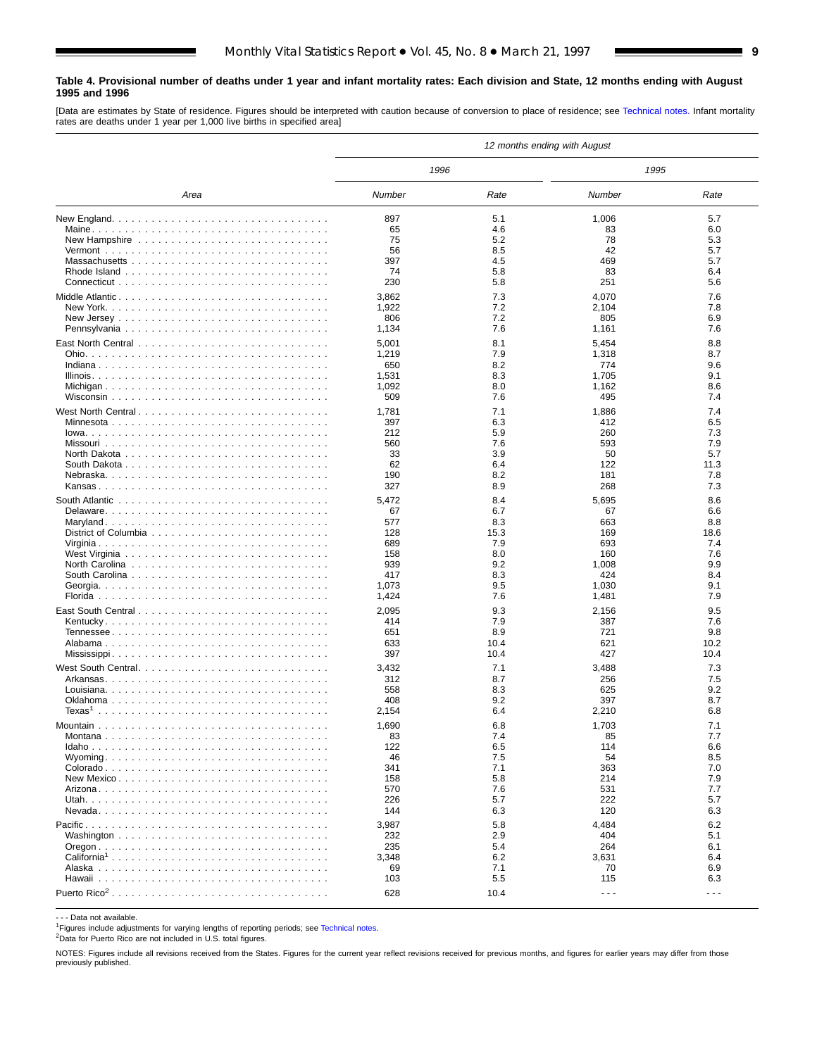#### <span id="page-8-0"></span>**Table 4. Provisional number of deaths under 1 year and infant mortality rates: Each division and State, 12 months ending with August 1995 and 1996**

[Data are estimates by State of residence. Figures should be interpreted with caution because of conversion to place of residence; see [Technical notes.](#page-16-0) Infant mortality rates are deaths under 1 year per 1,000 live births in specified area]

|                    |            |             | 12 months ending with August |                      |
|--------------------|------------|-------------|------------------------------|----------------------|
|                    | 1996       |             | 1995                         |                      |
| Area               | Number     | Rate        | Number                       | Rate                 |
|                    | 897        | 5.1         | 1,006                        | 5.7                  |
|                    | 65         | 4.6         | 83                           | 6.0                  |
|                    | 75         | 5.2         | 78                           | 5.3                  |
|                    | 56         | 8.5         | 42                           | 5.7                  |
|                    | 397        | 4.5         | 469                          | 5.7                  |
|                    | 74         | 5.8         | 83                           | 6.4                  |
|                    | 230        | 5.8         | 251                          | 5.6                  |
|                    | 3,862      | 7.3         | 4,070                        | 7.6                  |
|                    | 1,922      | 7.2         | 2,104                        | 7.8                  |
|                    | 806        | 7.2         | 805                          | 6.9                  |
|                    | 1,134      | 7.6         | 1,161                        | 7.6                  |
|                    | 5,001      | 8.1         | 5,454                        | 8.8                  |
|                    | 1,219      | 7.9         | 1,318                        | 8.7                  |
|                    | 650        | 8.2         | 774                          | 9.6                  |
|                    | 1,531      | 8.3         | 1,705                        | 9.1                  |
|                    | 1,092      | 8.0         | 1,162                        | 8.6                  |
|                    | 509        | 7.6         | 495                          | 7.4                  |
| West North Central | 1,781      | 7.1         | 1,886                        | 7.4                  |
| Minnesota          | 397        | 6.3         | 412                          | 6.5                  |
|                    | 212        | 5.9         | 260                          | 7.3                  |
|                    | 560        | 7.6         | 593                          | 7.9                  |
|                    | 33         | 3.9         | 50                           | 5.7                  |
|                    | 62<br>190  | 6.4<br>8.2  | 122<br>181                   | 11.3<br>7.8          |
|                    | 327        | 8.9         | 268                          | 7.3                  |
|                    |            |             |                              |                      |
|                    | 5,472      | 8.4         | 5,695                        | 8.6                  |
|                    | 67<br>577  | 6.7         | 67<br>663                    | 6.6<br>8.8           |
|                    | 128        | 8.3<br>15.3 | 169                          | 18.6                 |
|                    | 689        | 7.9         | 693                          | 7.4                  |
|                    | 158        | 8.0         | 160                          | 7.6                  |
|                    | 939        | 9.2         | 1,008                        | 9.9                  |
|                    | 417        | 8.3         | 424                          | 8.4                  |
|                    | 1,073      | 9.5         | 1,030                        | 9.1                  |
|                    | 1,424      | 7.6         | 1,481                        | 7.9                  |
|                    | 2,095      | 9.3         | 2,156                        | 9.5                  |
|                    | 414        | 7.9         | 387                          | 7.6                  |
|                    | 651        | 8.9         | 721                          | 9.8                  |
|                    | 633        | 10.4        | 621                          | 10.2                 |
|                    | 397        | 10.4        | 427                          | 10.4                 |
| West South Central | 3,432      | 7.1         | 3,488                        | 7.3                  |
|                    | 312        | 8.7         | 256                          | 7.5                  |
|                    | 558        | 8.3         | 625                          | 9.2                  |
|                    | 408        | 9.2         | 397                          | 8.7                  |
| Texas $^{\rm 1}$   | 2,154      | 6.4         | 2,210                        | 6.8                  |
|                    | 1,690      | 6.8         | 1,703                        | 7.1                  |
|                    | 83         | 7.4         | 85                           | 7.7                  |
|                    | 122        | 6.5         | 114                          | 6.6                  |
|                    | 46         | 7.5         | 54                           | 8.5                  |
|                    | 341<br>158 | 7.1<br>5.8  | 363<br>214                   | 7.0<br>7.9           |
|                    | 570        | 7.6         | 531                          | 7.7                  |
|                    | 226        | 5.7         | 222                          | 5.7                  |
|                    | 144        | 6.3         | 120                          | 6.3                  |
|                    | 3,987      | 5.8         | 4,484                        | 6.2                  |
|                    | 232        | 2.9         | 404                          | 5.1                  |
|                    | 235        | 5.4         | 264                          | 6.1                  |
|                    | 3,348      | 6.2         | 3,631                        | 6.4                  |
|                    | 69         | 7.1         | 70                           | 6.9                  |
|                    | 103        | 5.5         | 115                          | 6.3                  |
|                    | 628        | 10.4        | $\sim$ $\sim$ $\sim$         | $\sim$ $\sim$ $\sim$ |
|                    |            |             |                              |                      |

- - - Data not available.

<sup>1</sup>Figures include adjustments for varying lengths of reporting periods; see [Technical notes.](#page-16-0)

2Data for Puerto Rico are not included in U.S. total figures.

NOTES: Figures include all revisions received from the States. Figures for the current year reflect revisions received for previous months, and figures for earlier years may differ from those previously published.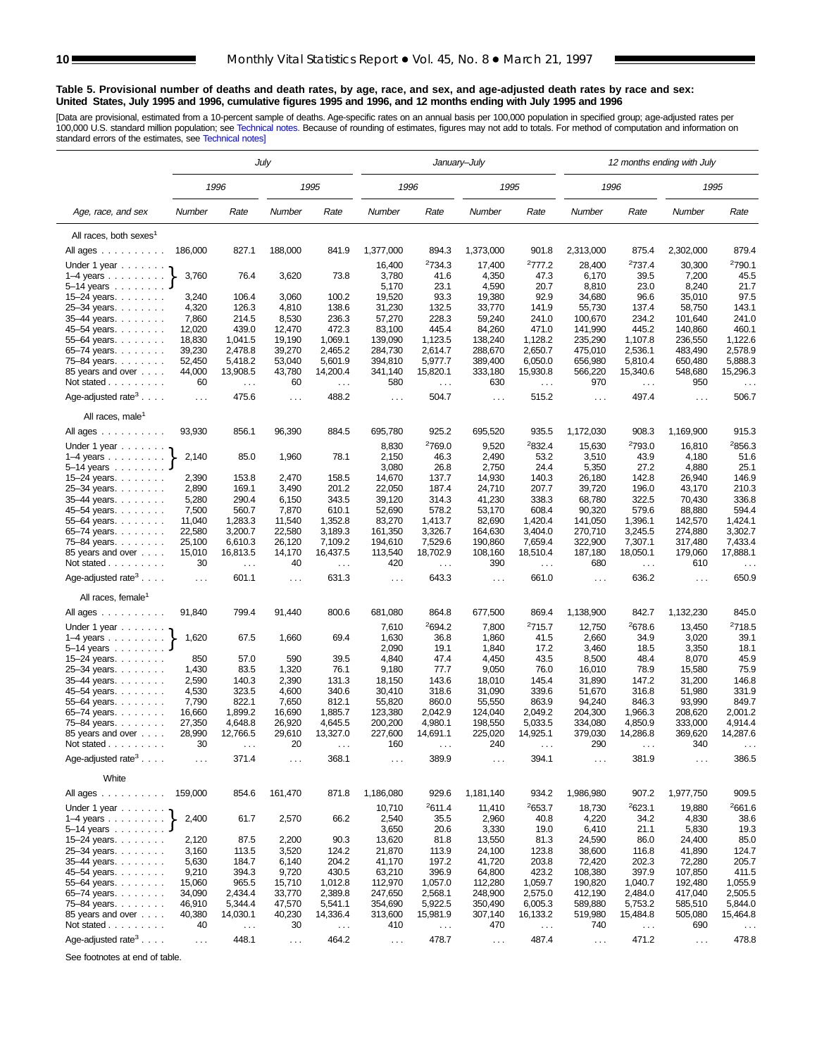#### <span id="page-9-0"></span>**Table 5. Provisional number of deaths and death rates, by age, race, and sex, and age-adjusted death rates by race and sex: United States, July 1995 and 1996, cumulative figures 1995 and 1996, and 12 months ending with July 1995 and 1996**

[Data are provisional, estimated from a 10-percent sample of deaths. Age-specific rates on an annual basis per 100,000 population in specified group; age-adjusted rates per<br>100,000 U.S. standard million population; see Tec

|                                                          | July             |                           |                      |                           |                   |                             | January-July         |                                  | 12 months ending with July |                           |                      |                           |  |
|----------------------------------------------------------|------------------|---------------------------|----------------------|---------------------------|-------------------|-----------------------------|----------------------|----------------------------------|----------------------------|---------------------------|----------------------|---------------------------|--|
|                                                          |                  | 1996                      |                      | 1995                      | 1996              |                             | 1995                 |                                  | 1996                       |                           | 1995                 |                           |  |
| Age, race, and sex                                       | Number           | Rate                      | Number               | Rate                      | Number            | Rate                        | Number               | Rate                             | Number                     | Rate                      | Number               | Rate                      |  |
| All races, both sexes <sup>1</sup>                       |                  |                           |                      |                           |                   |                             |                      |                                  |                            |                           |                      |                           |  |
| All ages                                                 | 186,000          | 827.1                     | 188,000              | 841.9                     | 1,377,000         | 894.3                       | 1,373,000            | 901.8                            | 2,313,000                  | 875.4                     | 2,302,000            | 879.4                     |  |
| Under 1 year                                             |                  |                           |                      |                           | 16,400            | <sup>2</sup> 734.3          | 17,400               | 2777.2                           | 28,400                     | <sup>2</sup> 737.4        | 30,300               | <sup>2</sup> 790.1        |  |
| $1-4$ years $\ldots$ $\ldots$ .<br>$5-14$ years $\ldots$ | 3,760            | 76.4                      | 3,620                | 73.8                      | 3,780<br>5,170    | 41.6<br>23.1                | 4,350<br>4,590       | 47.3<br>20.7                     | 6,170<br>8,810             | 39.5<br>23.0              | 7,200<br>8,240       | 45.5<br>21.7              |  |
| $15 - 24$ years.                                         | 3,240            | 106.4                     | 3,060                | 100.2                     | 19,520            | 93.3                        | 19,380               | 92.9                             | 34,680                     | 96.6                      | 35,010               | 97.5                      |  |
| 25-34 years.                                             | 4,320            | 126.3                     | 4,810                | 138.6                     | 31,230            | 132.5                       | 33,770               | 141.9                            | 55,730                     | 137.4                     | 58,750               | 143.1                     |  |
| 35-44 years.                                             | 7,860            | 214.5                     | 8,530                | 236.3<br>472.3            | 57,270            | 228.3<br>445.4              | 59,240               | 241.0                            | 100.670                    | 234.2<br>445.2            | 101,640              | 241.0<br>460.1            |  |
| 45–54 years<br>55-64 years.                              | 12,020<br>18,830 | 439.0<br>1,041.5          | 12,470<br>19,190     | 1,069.1                   | 83,100<br>139,090 | 1,123.5                     | 84,260<br>138,240    | 471.0<br>1,128.2                 | 141,990<br>235,290         | 1,107.8                   | 140,860<br>236,550   | 1,122.6                   |  |
| $65 - 74$ years.                                         | 39,230           | 2,478.8                   | 39,270               | 2,465.2                   | 284,730           | 2,614.7                     | 288,670              | 2,650.7                          | 475,010                    | 2,536.1                   | 483,490              | 2,578.9                   |  |
| 75–84 years                                              | 52,450           | 5,418.2                   | 53,040               | 5,601.9                   | 394,810           | 5,977.7                     | 389,400              | 6,050.0                          | 656,980                    | 5,810.4                   | 650,480              | 5,888.3                   |  |
| 85 years and over<br>Not stated $\ldots$                 | 44,000<br>60     | 13,908.5<br>$\sim$ .      | 43,780<br>60         | 14,200.4<br>$\sim$ $\sim$ | 341,140<br>580    | 15,820.1<br>$\sim$ .        | 333,180<br>630       | 15,930.8<br>$\sim 100$           | 566,220<br>970             | 15,340.6<br>$\cdots$      | 548,680<br>950       | 15,296.3<br>$\cdots$      |  |
| Age-adjusted rate <sup>3</sup> $\ldots$ .                | $\cdots$         | 475.6                     | $\sim$ $\sim$ $\sim$ | 488.2                     | $\ldots$ .        | 504.7                       | $\sim$ $\sim$ $\sim$ | 515.2                            | $\ldots$                   | 497.4                     | $\sim$ $\sim$ $\sim$ | 506.7                     |  |
| All races, male <sup>1</sup>                             |                  |                           |                      |                           |                   |                             |                      |                                  |                            |                           |                      |                           |  |
| All ages<br>Under 1 year                                 | 93,930           | 856.1                     | 96,390               | 884.5                     | 695,780<br>8,830  | 925.2<br><sup>2</sup> 769.0 | 695,520<br>9,520     | 935.5<br>2832.4                  | 1,172,030<br>15,630        | 908.3<br>2793.0           | 1,169,900<br>16,810  | 915.3<br>2856.3           |  |
| $1-4$ years $\ldots$ $\ldots$ .                          | 2,140            | 85.0                      | 1,960                | 78.1                      | 2,150             | 46.3                        | 2,490                | 53.2                             | 3,510                      | 43.9                      | 4,180                | 51.6                      |  |
| $5-14$ years $\ldots$                                    |                  |                           |                      |                           | 3,080             | 26.8                        | 2,750                | 24.4                             | 5,350                      | 27.2                      | 4,880                | 25.1                      |  |
| $15 - 24$ years.                                         | 2,390<br>2,890   | 153.8<br>169.1            | 2,470<br>3,490       | 158.5<br>201.2            | 14,670<br>22,050  | 137.7<br>187.4              | 14,930<br>24,710     | 140.3<br>207.7                   | 26,180<br>39,720           | 142.8<br>196.0            | 26,940<br>43,170     | 146.9<br>210.3            |  |
| 25-34 years.<br>35-44 years.                             | 5,280            | 290.4                     | 6,150                | 343.5                     | 39,120            | 314.3                       | 41,230               | 338.3                            | 68,780                     | 322.5                     | 70,430               | 336.8                     |  |
| 45-54 years.                                             | 7,500            | 560.7                     | 7,870                | 610.1                     | 52,690            | 578.2                       | 53,170               | 608.4                            | 90,320                     | 579.6                     | 88,880               | 594.4                     |  |
| 55-64 years.                                             | 11,040<br>22,580 | 1,283.3<br>3,200.7        | 11,540<br>22,580     | 1,352.8<br>3,189.3        | 83,270<br>161,350 | 1,413.7                     | 82,690<br>164,630    | 1,420.4<br>3,404.0               | 141,050<br>270,710         | 1,396.1<br>3,245.5        | 142,570<br>274,880   | 1,424.1<br>3,302.7        |  |
| $65 - 74$ years.<br>75-84 years.                         | 25,100           | 6,610.3                   | 26,120               | 7,109.2                   | 194,610           | 3,326.7<br>7,529.6          | 190,860              | 7,659.4                          | 322,900                    | 7,307.1                   | 317,480              | 7,433.4                   |  |
| 85 years and over<br>Not stated                          | 15,010<br>30     | 16,813.5<br>$\ldots$      | 14,170<br>40         | 16,437.5<br>$\sim$ .      | 113,540<br>420    | 18,702.9<br>.               | 108,160<br>390       | 18,510.4<br>$\sim$ .             | 187,180<br>680             | 18,050.1<br>$\ldots$      | 179,060<br>610       | 17,888.1<br>$\sim$ $\sim$ |  |
| Age-adjusted rate <sup>3</sup> $\ldots$ .                | $\cdots$         | 601.1                     | .                    | 631.3                     | $\ldots$ .        | 643.3                       | $\sim$ $\sim$ $\sim$ | 661.0                            | $\ldots$                   | 636.2                     | $\ldots$ .           | 650.9                     |  |
| All races, female <sup>1</sup>                           |                  |                           |                      |                           |                   |                             |                      |                                  |                            |                           |                      |                           |  |
| All ages                                                 | 91,840           | 799.4                     | 91,440               | 800.6                     | 681,080           | 864.8                       | 677,500              | 869.4                            | 1,138,900                  | 842.7                     | 1,132,230            | 845.0                     |  |
| Under 1 year $\ldots \ldots$<br>$1-4$ years              | 1,620            | 67.5                      | 1,660                | 69.4                      | 7,610<br>1,630    | <sup>2</sup> 694.2<br>36.8  | 7,800<br>1,860       | 2715.7<br>41.5                   | 12,750<br>2,660            | 2678.6<br>34.9            | 13,450<br>3,020      | 2718.5<br>39.1            |  |
| $5 - 14$ years $\ldots \ldots$<br>$15 - 24$ years.       | 850              | 57.0                      | 590                  | 39.5                      | 2,090<br>4,840    | 19.1<br>47.4                | 1,840<br>4,450       | 17.2<br>43.5                     | 3,460<br>8,500             | 18.5<br>48.4              | 3,350<br>8,070       | 18.1<br>45.9              |  |
| 25-34 years.                                             | 1,430            | 83.5                      | 1,320                | 76.1                      | 9,180             | 77.7                        | 9,050                | 76.0                             | 16,010                     | 78.9                      | 15,580               | 75.9                      |  |
| 35-44 years.                                             | 2,590            | 140.3                     | 2,390                | 131.3                     | 18,150            | 143.6                       | 18,010               | 145.4                            | 31,890                     | 147.2                     | 31,200               | 146.8                     |  |
| 45-54 years.<br>55-64 years.                             | 4,530<br>7,790   | 323.5<br>822.1            | 4,600<br>7,650       | 340.6<br>812.1            | 30,410<br>55,820  | 318.6<br>860.0              | 31,090<br>55,550     | 339.6<br>863.9                   | 51,670<br>94,240           | 316.8<br>846.3            | 51,980<br>93,990     | 331.9<br>849.7            |  |
| 65-74 years.                                             | 16,660           | 1,899.2                   | 16,690               | 1,885.7                   | 123,380           | 2,042.9                     | 124,040              | 2,049.2                          | 204,300                    | 1,966.3                   | 208,620              | 2,001.2                   |  |
| 75-84 years.                                             | 27,350           | 4,648.8                   | 26,920               | 4,645.5                   | 200,200           | 4,980.1                     | 198,550              | 5,033.5                          | 334,080                    | 4,850.9                   | 333,000              | 4,914.4                   |  |
| 85 years and over<br>Not stated                          | 28,990<br>30     | 12,766.5<br>$\cdots$      | 29,610<br>20         | 13,327.0<br>$\cdots$      | 227,600<br>160    | 14,691.1<br>.               | 225,020<br>240       | 14,925.1                         | 379,030<br>290             | 14,286.8                  | 369,620<br>340       | 14,287.6                  |  |
| Age-adjusted rate <sup>3</sup>                           | $\cdots$         | 371.4                     | $\sim$ $\sim$ $\sim$ | 368.1                     | $\cdots$          | 389.9                       | $\sim$ $\sim$ $\sim$ | 394.1                            | $\cdots$                   | 381.9                     | .                    | 386.5                     |  |
| White                                                    |                  |                           |                      |                           |                   |                             |                      |                                  |                            |                           |                      |                           |  |
| All ages                                                 | 159,000          | 854.6                     | 161,470              | 871.8                     | 1,186,080         | 929.6                       | 1,181,140            | 934.2                            | 1,986,980                  | 907.2                     | 1,977,750            | 909.5                     |  |
| Under 1 year                                             |                  |                           |                      |                           | 10,710            | 2611.4                      | 11,410               | 2653.7                           | 18,730                     | 2623.1                    | 19,880               | 2661.6                    |  |
| $1-4$ years<br>$5-14$ years $\ldots$                     | 2,400            | 61.7                      | 2,570                | 66.2                      | 2,540<br>3,650    | 35.5<br>20.6                | 2,960<br>3,330       | 40.8<br>19.0                     | 4,220<br>6,410             | 34.2<br>21.1              | 4,830<br>5,830       | 38.6<br>19.3              |  |
| 15-24 years.                                             | 2,120            | 87.5                      | 2,200                | 90.3                      | 13,620            | 81.8                        | 13,550               | 81.3                             | 24,590                     | 86.0                      | 24,400               | 85.0                      |  |
| 25-34 years.                                             | 3,160            | 113.5                     | 3,520                | 124.2                     | 21,870            | 113.9                       | 24,100               | 123.8                            | 38,600                     | 116.8                     | 41,890               | 124.7                     |  |
| 35-44 years.<br>45-54 years.                             | 5,630<br>9,210   | 184.7<br>394.3            | 6,140<br>9,720       | 204.2<br>430.5            | 41,170<br>63,210  | 197.2<br>396.9              | 41,720<br>64,800     | 203.8<br>423.2                   | 72,420<br>108,380          | 202.3<br>397.9            | 72,280<br>107,850    | 205.7<br>411.5            |  |
| 55-64 years.                                             | 15,060           | 965.5                     | 15,710               | 1,012.8                   | 112,970           | 1,057.0                     | 112,280              | 1,059.7                          | 190,820                    | 1,040.7                   | 192,480              | 1,055.9                   |  |
| 65-74 years.                                             | 34,090           | 2,434.4                   | 33,770               | 2,389.8                   | 247,650           | 2,568.1                     | 248,900              | 2,575.0                          | 412,190                    | 2,484.0                   | 417,040              | 2,505.5                   |  |
| 75-84 years.                                             | 46,910           | 5,344.4                   | 47,570               | 5,541.1                   | 354,690           | 5,922.5                     | 350,490              | 6,005.3                          | 589,880                    | 5,753.2                   | 585,510              | 5,844.0<br>15,464.8       |  |
| 85 years and over<br>Not stated $\ldots$                 | 40,380<br>40     | 14,030.1<br>$\sim$ $\sim$ | 40,230<br>30         | 14,336.4<br>$\sim$ $\sim$ | 313,600<br>410    | 15,981.9<br>$\ldots$        | 307,140<br>470       | 16,133.2<br>$\sim$ $\sim$ $\sim$ | 519,980<br>740             | 15,484.8<br>$\sim$ $\sim$ | 505,080<br>690       | $\sim$ $\sim$             |  |
| Age-adjusted rate <sup>3</sup>                           | $\sim$ $\sim$    | 448.1                     | $\sim$               | 464.2                     | $\sim$            | 478.7                       | $\sim$ .             | 487.4                            | $\sim$ $\sim$              | 471.2                     | $\sim$ $\sim$        | 478.8                     |  |
|                                                          |                  |                           |                      |                           |                   |                             |                      |                                  |                            |                           |                      |                           |  |

See footnotes at end of table.

 $\overline{a}$ 

 $\overline{a}$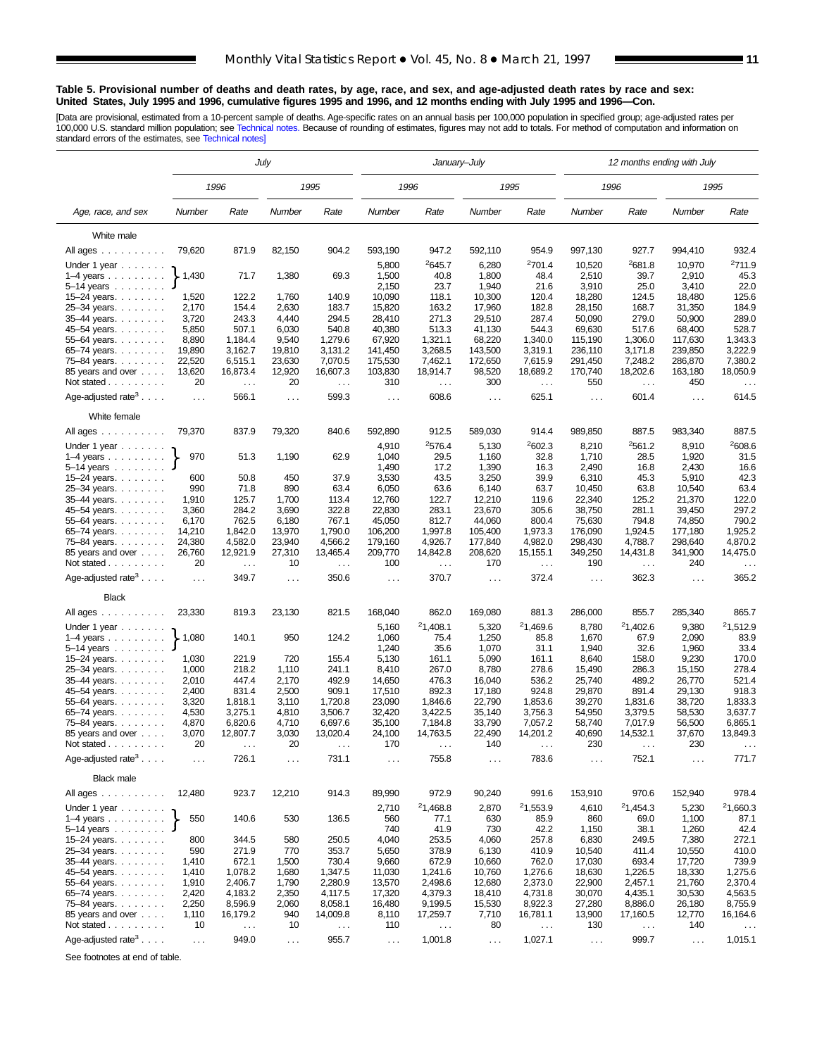#### **Table 5. Provisional number of deaths and death rates, by age, race, and sex, and age-adjusted death rates by race and sex: United States, July 1995 and 1996, cumulative figures 1995 and 1996, and 12 months ending with July 1995 and 1996—Con.**

[Data are provisional, estimated from a 10-percent sample of deaths. Age-specific rates on an annual basis per 100,000 population in specified group; age-adjusted rates per<br>100,000 U.S. standard million population; see Tec

|                                           |                      |                  | July           |                  |                  | January-July     |                  |                      |                   | 12 months ending with July    |                   |                      |
|-------------------------------------------|----------------------|------------------|----------------|------------------|------------------|------------------|------------------|----------------------|-------------------|-------------------------------|-------------------|----------------------|
|                                           |                      | 1996             |                | 1995             |                  | 1996             |                  | 1995                 |                   | 1996                          |                   | 1995                 |
| Age, race, and sex                        | Number               | Rate             | Number         | Rate             | Number           | Rate             | Number           | Rate                 | Number            | Rate                          | Number            | Rate                 |
| White male                                |                      |                  |                |                  |                  |                  |                  |                      |                   |                               |                   |                      |
| All ages                                  | 79,620               | 871.9            | 82,150         | 904.2            | 593,190          | 947.2            | 592,110          | 954.9                | 997,130           | 927.7                         | 994,410           | 932.4                |
| Under 1 year                              |                      |                  |                |                  | 5,800            | 2645.7           | 6,280            | 2701.4               | 10,520            | <sup>2</sup> 681.8            | 10,970            | <sup>2</sup> 711.9   |
| $1-4$ years $\ldots$ $\ldots$ $\ldots$    | 1,430                | 71.7             | 1,380          | 69.3             | 1,500            | 40.8             | 1,800            | 48.4                 | 2,510             | 39.7                          | 2,910             | 45.3                 |
| $5 - 14$ years $\ldots$                   |                      |                  |                |                  | 2,150            | 23.7             | 1,940            | 21.6                 | 3,910             | 25.0                          | 3,410             | 22.0                 |
| 15–24 years. $\ldots$                     | 1,520                | 122.2            | 1,760          | 140.9            | 10,090           | 118.1            | 10,300           | 120.4                | 18,280            | 124.5                         | 18,480            | 125.6                |
| 25-34 years.                              | 2,170                | 154.4            | 2,630          | 183.7            | 15,820           | 163.2            | 17,960           | 182.8                | 28,150            | 168.7                         | 31,350            | 184.9                |
| 35-44 years.                              | 3,720                | 243.3            | 4,440          | 294.5            | 28,410           | 271.3            | 29,510           | 287.4                | 50,090            | 279.0                         | 50,900            | 289.0                |
| 45–54 years<br>$55 - 64$ years.           | 5,850<br>8,890       | 507.1<br>1,184.4 | 6,030<br>9,540 | 540.8<br>1,279.6 | 40,380<br>67,920 | 513.3<br>1,321.1 | 41,130<br>68,220 | 544.3<br>1,340.0     | 69,630<br>115,190 | 517.6<br>1,306.0              | 68,400<br>117,630 | 528.7<br>1,343.3     |
| $65 - 74$ years.                          | 19,890               | 3,162.7          | 19,810         | 3,131.2          | 141,450          | 3,268.5          | 143,500          | 3,319.1              | 236,110           | 3,171.8                       | 239,850           | 3,222.9              |
| 75-84 years.                              | 22,520               | 6,515.1          | 23,630         | 7,070.5          | 175,530          | 7,462.1          | 172,650          | 7,615.9              | 291,450           | 7,248.2                       | 286,870           | 7,380.2              |
| 85 years and over                         | 13,620               | 16,873.4         | 12,920         | 16,607.3         | 103,830          | 18,914.7         | 98,520           | 18,689.2             | 170,740           | 18,202.6                      | 163,180           | 18,050.9             |
| Not stated                                | 20                   | $\ldots$         | 20             | $\ddotsc$        | 310              | $\sim$ $\sim$    | 300              | $\sim$ $\sim$        | 550               | $\sim$ $\sim$                 | 450               | $\sim$ $\sim$        |
| Age-adjusted rate <sup>3</sup> $\ldots$ . | $\ldots$             | 566.1            | $\sim$ $\sim$  | 599.3            | $\sim$ .         | 608.6            | $\sim 10$        | 625.1                | $\ldots$          | 601.4                         | $\cdots$          | 614.5                |
| White female                              |                      |                  |                |                  |                  |                  |                  |                      |                   |                               |                   |                      |
| All ages                                  | 79,370               | 837.9            | 79,320         | 840.6            | 592,890          | 912.5            | 589,030          | 914.4                | 989,850           | 887.5                         | 983,340           | 887.5                |
| Under 1 year                              |                      |                  |                |                  | 4,910            | 2576.4           | 5,130            | 2602.3               | 8,210             | 2561.2                        | 8,910             | 2608.6               |
| $1-4$ years $\ldots$ $\ldots$ .           | 970                  | 51.3             | 1,190          | 62.9             | 1,040            | 29.5             | 1,160            | 32.8                 | 1,710             | 28.5                          | 1,920             | 31.5                 |
| $5 - 14$ years $$                         |                      |                  |                |                  | 1,490            | 17.2             | 1,390            | 16.3                 | 2,490             | 16.8                          | 2,430             | 16.6                 |
| 15–24 years. $\ldots$                     | 600                  | 50.8             | 450            | 37.9             | 3,530            | 43.5             | 3,250            | 39.9                 | 6,310             | 45.3                          | 5,910             | 42.3                 |
| 25-34 years                               | 990                  | 71.8             | 890            | 63.4             | 6,050            | 63.6             | 6,140            | 63.7                 | 10,450            | 63.8                          | 10,540            | 63.4                 |
| 35-44 years.                              | 1,910<br>3,360       | 125.7<br>284.2   | 1,700<br>3,690 | 113.4<br>322.8   | 12,760<br>22,830 | 122.7<br>283.1   | 12,210           | 119.6<br>305.6       | 22,340<br>38,750  | 125.2<br>281.1                | 21,370<br>39,450  | 122.0<br>297.2       |
| 45–54 years. $\ldots$<br>$55 - 64$ years. | 6,170                | 762.5            | 6,180          | 767.1            | 45,050           | 812.7            | 23,670<br>44,060 | 800.4                | 75,630            | 794.8                         | 74,850            | 790.2                |
| $65 - 74$ years.                          | 14,210               | 1,842.0          | 13,970         | 1,790.0          | 106,200          | 1,997.8          | 105,400          | 1,973.3              | 176,090           | 1,924.5                       | 177,180           | 1,925.2              |
| 75-84 years.                              | 24,380               | 4,582.0          | 23,940         | 4,566.2          | 179,160          | 4,926.7          | 177,840          | 4,982.0              | 298,430           | 4,788.7                       | 298,640           | 4,870.2              |
| 85 years and over                         | 26,760               | 12,921.9         | 27,310         | 13,465.4         | 209,770          | 14,842.8         | 208,620          | 15,155.1             | 349,250           | 14,431.8                      | 341,900           | 14,475.0             |
| Not stated                                | 20                   | $\ldots$         | 10             | $\ldots$         | 100              | $\sim$           | 170              | $\sim$ $\sim$        | 190               | $\ldots$                      | 240               |                      |
| Age-adjusted rate <sup>3</sup>            | $\sim$ .             | 349.7            | $\sim$ $\sim$  | 350.6            | $\cdots$         | 370.7            | $\ldots$         | 372.4                | $\sim$ .          | 362.3                         | $\ldots$          | 365.2                |
| <b>Black</b>                              |                      |                  |                |                  |                  |                  |                  |                      |                   |                               |                   |                      |
| All ages                                  | 23,330               | 819.3            | 23,130         | 821.5            | 168,040          | 862.0            | 169,080          | 881.3                | 286,000           | 855.7                         | 285,340           | 865.7                |
| Under 1 year $\ldots \ldots$              |                      |                  |                |                  | 5,160            | 21,408.1         | 5,320            | 21,469.6             | 8,780             | 21,402.6                      | 9,380             | <sup>2</sup> 1,512.9 |
| $1-4$ years                               | 1,080                | 140.1            | 950            | 124.2            | 1,060            | 75.4             | 1,250            | 85.8                 | 1,670             | 67.9                          | 2,090             | 83.9                 |
| $5 - 14$ years $\ldots \ldots$            |                      |                  |                |                  | 1,240            | 35.6             | 1,070            | 31.1                 | 1,940             | 32.6                          | 1,960             | 33.4                 |
| 15–24 years. $\ldots$                     | 1,030                | 221.9            | 720            | 155.4            | 5,130            | 161.1            | 5,090            | 161.1                | 8,640             | 158.0                         | 9,230             | 170.0                |
| 25-34 years                               | 1,000                | 218.2<br>447.4   | 1,110          | 241.1            | 8,410            | 267.0<br>476.3   | 8,780            | 278.6                | 15,490            | 286.3<br>489.2                | 15,150            | 278.4<br>521.4       |
| 35-44 years.<br>45–54 years               | 2,010<br>2,400       | 831.4            | 2,170<br>2,500 | 492.9<br>909.1   | 14,650<br>17,510 | 892.3            | 16,040<br>17,180 | 536.2<br>924.8       | 25,740<br>29,870  | 891.4                         | 26,770<br>29,130  | 918.3                |
| $55 - 64$ years.                          | 3,320                | 1,818.1          | 3,110          | 1,720.8          | 23,090           | 1,846.6          | 22,790           | 1,853.6              | 39,270            | 1,831.6                       | 38,720            | 1,833.3              |
| $65 - 74$ years.                          | 4,530                | 3.275.1          | 4,810          | 3,506.7          | 32,420           | 3,422.5          | 35.140           | 3,756.3              | 54,950            | 3,379.5                       | 58,530            | 3,637.7              |
| 75–84 years                               | 4,870                | 6,820.6          | 4,710          | 6,697.6          | 35,100           | 7,184.8          | 33,790           | 7,057.2              | 58,740            | 7,017.9                       | 56,500            | 6,865.1              |
| 85 years and over                         | 3,070                | 12,807.7         | 3,030          | 13,020.4         | 24,100           | 14,763.5         | 22,490           | 14,201.2             | 40,690            | 14,532.1                      | 37,670            | 13,849.3             |
| Not stated                                | 20                   | $\cdots$         | 20             | $\cdots$         | 170              | $\cdots$         | 140              | $\sim$ $\sim$ $\sim$ | 230               | $\sim$ $\sim$ $\sim$          | 230               | $\sim$ $\sim$ $\sim$ |
| Age-adjusted rate <sup>3</sup> $\ldots$ . | $\sim$ $\sim$ $\sim$ | 726.1            | $\sim$ $\sim$  | 731.1            | $\ldots$         | 755.8            | $\ldots$         | 783.6                | $\sim$ $\sim$     | 752.1                         | $\sim$ .          | 771.7                |
| <b>Black male</b>                         |                      |                  |                |                  |                  |                  |                  |                      |                   |                               |                   |                      |
| All ages                                  | 12,480               | 923.7            | 12,210         | 914.3            | 89,990           | 972.9            | 90,240           | 991.6                | 153,910           | 970.6                         | 152,940           | 978.4                |
| Under 1 year $\ldots$                     |                      |                  |                |                  | 2,710            | 21,468.8         | 2,870            | 21,553.9             | 4,610             | 21,454.3                      | 5,230             | 21,660.3             |
| $1-4$ years                               | 550                  | 140.6            | 530            | 136.5            | 560              | 77.1             | 630              | 85.9                 | 860               | 69.0                          | 1,100             | 87.1                 |
| $5-14$ years $\ldots$<br>15-24 years.     | 800                  | 344.5            | 580            | 250.5            | 740<br>4,040     | 41.9<br>253.5    | 730<br>4,060     | 42.2<br>257.8        | 1,150<br>6,830    | 38.1<br>249.5                 | 1,260<br>7,380    | 42.4<br>272.1        |
| 25-34 years                               | 590                  | 271.9            | 770            | 353.7            | 5,650            | 378.9            | 6,130            | 410.9                | 10,540            | 411.4                         | 10,550            | 410.0                |
| 35-44 years.                              | 1,410                | 672.1            | 1,500          | 730.4            | 9,660            | 672.9            | 10,660           | 762.0                | 17,030            | 693.4                         | 17,720            | 739.9                |
| 45-54 years.                              | 1,410                | 1,078.2          | 1,680          | 1,347.5          | 11,030           | 1,241.6          | 10,760           | 1,276.6              | 18,630            | 1,226.5                       | 18,330            | 1,275.6              |
| 55-64 years.                              | 1,910                | 2,406.7          | 1,790          | 2,280.9          | 13,570           | 2,498.6          | 12,680           | 2,373.0              | 22,900            | 2,457.1                       | 21,760            | 2,370.4              |
| 65-74 years.                              | 2,420                | 4,183.2          | 2,350          | 4,117.5          | 17,320           | 4,379.3          | 18,410           | 4,731.8              | 30,070            | 4,435.1                       | 30,530            | 4,563.5              |
| 75-84 years.                              | 2,250                | 8,596.9          | 2,060          | 8,058.1          | 16,480           | 9,199.5          | 15,530           | 8,922.3              | 27,280            | 8,886.0                       | 26,180            | 8,755.9              |
| 85 years and over<br>Not stated           | 1,110<br>10          | 16,179.2         | 940<br>10      | 14,009.8         | 8,110<br>110     | 17,259.7         | 7,710<br>80      | 16,781.1             | 13,900            | 17,160.5                      | 12,770<br>140     | 16,164.6             |
|                                           |                      | $\sim$ $\sim$    |                | $\ddotsc$        |                  | $\sim$ .         |                  | $\sim$ $\sim$        | 130               | $\epsilon \rightarrow \infty$ |                   |                      |
| Age-adjusted rate $3 \ldots$ .            | $\sim$ $\sim$        | 949.0            | $\sim$ $\sim$  | 955.7            | $\sim$ $\sim$    | 1,001.8          | $\sim 10$        | 1,027.1              | $\sim$            | 999.7                         | $\sim$ $\sim$     | 1,015.1              |

See footnotes at end of table.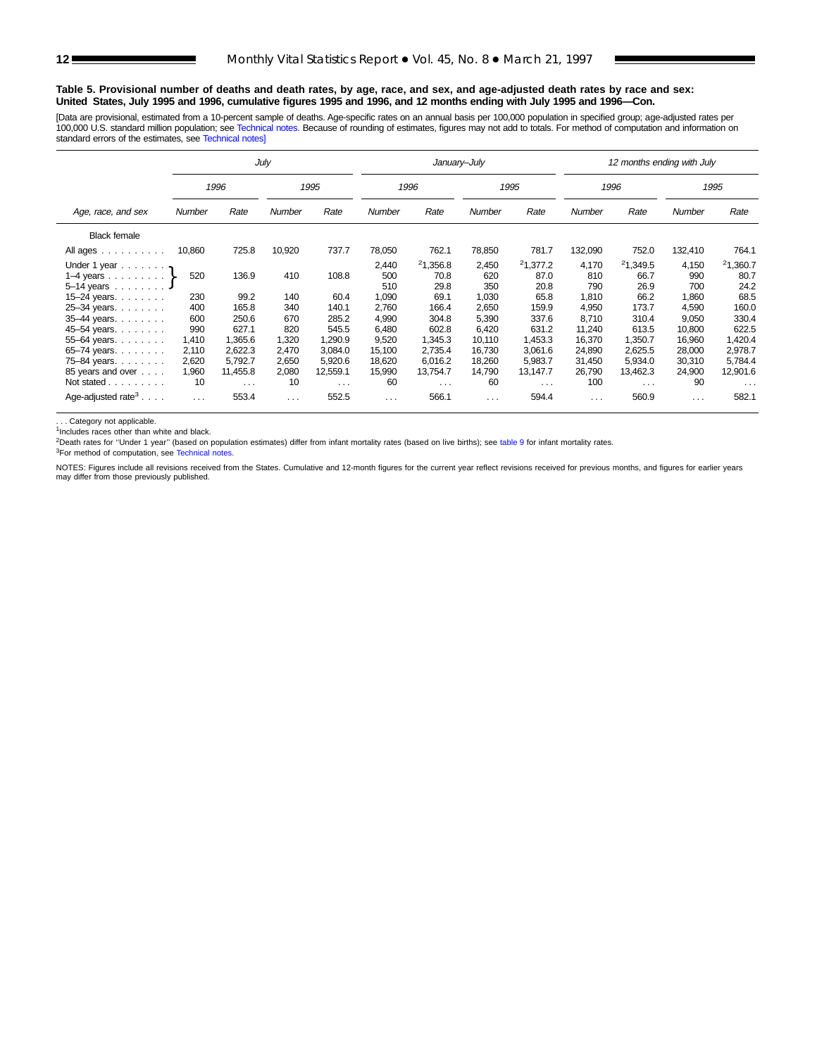#### **Table 5. Provisional number of deaths and death rates, by age, race, and sex, and age-adjusted death rates by race and sex: United States, July 1995 and 1996, cumulative figures 1995 and 1996, and 12 months ending with July 1995 and 1996—Con.**

[Data are provisional, estimated from a 10-percent sample of deaths. Age-specific rates on an annual basis per 100,000 population in specified group; age-adjusted rates per<br>100,000 U.S. standard million population; see Tec standard errors of the estimates, see [Technical notes\]](#page-16-0)

|                                           |        |                      | July          |            |                | January-July         |                            |          | 12 months ending with July |          |               |          |  |  |
|-------------------------------------------|--------|----------------------|---------------|------------|----------------|----------------------|----------------------------|----------|----------------------------|----------|---------------|----------|--|--|
|                                           |        | 1996                 |               | 1995       |                | 1996                 |                            | 1995     |                            | 1996     |               | 1995     |  |  |
| Age, race, and sex                        | Number | Rate                 | <b>Number</b> | Rate       | Number         | Rate                 | <b>Number</b>              | Rate     | Number                     | Rate     | <b>Number</b> | Rate     |  |  |
| <b>Black female</b>                       |        |                      |               |            |                |                      |                            |          |                            |          |               |          |  |  |
| All ages                                  | 10,860 | 725.8                | 10,920        | 737.7      | 78,050         | 762.1                | 78,850                     | 781.7    | 132,090                    | 752.0    | 132,410       | 764.1    |  |  |
| Under 1 year $\ldots \ldots$              |        |                      |               |            | 2,440          | <sup>2</sup> 1,356.8 | 2,450                      | 21.377.2 | 4,170                      | 21,349.5 | 4,150         | 21,360.7 |  |  |
| 1–4 years $\}$                            | 520    | 136.9                | 410           | 108.8      | 500<br>70.8    |                      | 620                        | 87.0     | 810                        | 66.7     | 990           | 80.7     |  |  |
| $5-14$ years                              |        |                      |               |            | 510            | 29.8                 | 350                        | 20.8     | 790                        | 26.9     | 700           | 24.2     |  |  |
| 15-24 years.                              | 230    | 99.2                 | 140           | 60.4       | 1,090          | 69.1                 | 1,030                      | 65.8     | 1,810                      | 66.2     | 1,860         | 68.5     |  |  |
| 25-34 years.                              | 400    | 165.8                | 340           | 140.1      | 2,760          | 166.4                | 2,650                      | 159.9    | 4,950                      | 173.7    | 4,590         | 160.0    |  |  |
| 35-44 years.                              | 600    | 250.6                | 670           | 285.2      | 4,990          | 304.8                | 5,390                      | 337.6    | 8,710                      | 310.4    | 9,050         | 330.4    |  |  |
| 45-54 years.                              | 990    | 627.1                | 820           | 545.5      | 6,480          | 602.8                | 6,420                      | 631.2    | 11,240                     | 613.5    | 10,800        | 622.5    |  |  |
| 55-64 years.                              | 1,410  | 1,365.6              | 1,320         | 1,290.9    | 9,520          | 1,345.3              | 10,110                     | 1,453.3  | 16,370                     | 1,350.7  | 16,960        | 1,420.4  |  |  |
| 65-74 years.                              | 2,110  | 2,622.3              | 2,470         | 3,084.0    | 15,100         | 2,735.4              | 16,730                     | 3,061.6  | 24,890                     | 2,625.5  | 28,000        | 2,978.7  |  |  |
| 75-84 years.                              | 2,620  | 5,792.7              | 2,650         | 5,920.6    | 18.620         | 6.016.2              | 18,260                     | 5,983.7  | 31,450                     | 5.934.0  | 30,310        | 5,784.4  |  |  |
| 85 years and over                         | 1,960  | 11,455.8             | 2,080         | 12,559.1   | 15,990         | 13,754.7             | 14,790                     | 13,147.7 | 26,790                     | 13,462.3 | 24,900        | 12,901.6 |  |  |
| Not stated                                | 10     | $\sim$ $\sim$ $\sim$ | 10            | $\sim 100$ | 60<br>$\cdots$ |                      | 60<br>$\sim$ $\sim$ $\sim$ |          | 100                        | $\cdots$ | 90            | $\cdots$ |  |  |
| Age-adjusted rate <sup>3</sup> $\ldots$ . | .      | 553.4                | $\cdots$      | 552.5      | $\cdots$       | 566.1                | $\sim$ $\sim$ $\sim$       | 594.4    | $\cdots$                   | 560.9    | $\cdots$      | 582.1    |  |  |

... Category not applicable.

<sup>1</sup>Includes races other than white and black.

<sup>2</sup>Death rates for "Under 1 year" (based on population estimates) differ from infant mortality rates (based on live births); see table 9 for infant mortality rates.

<sup>3</sup>For method of computation, see [Technical notes.](#page-16-0)

NOTES: Figures include all revisions received from the States. Cumulative and 12-month figures for the current year reflect revisions received for previous months, and figures for earlier years may differ from those previously published.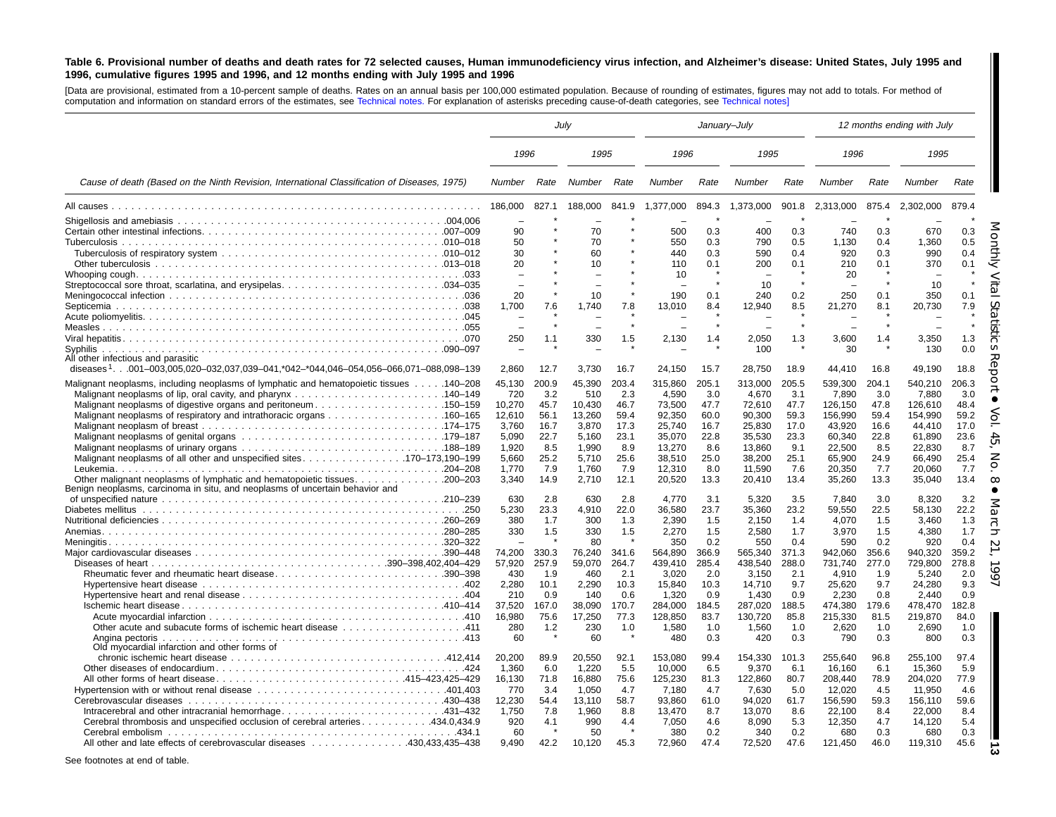#### <span id="page-12-0"></span>Table 6. Provisional number of deaths and death rates for 72 selected causes, Human immunodeficiency virus infection, and Alzheimer's disease: United States, July 1995 and 1996, cumulative figures 1995 and 1996, and 12 months ending with July 1995 and 1996

[Data are provisional, estimated from <sup>a</sup> 10-percent sample of deaths. Rates on an annual basis per 100,000 estimated population. Because of rounding of estimates, figures may not add to totals. For method of computation and information on standard errors of the estimates, see [Technical](#page-16-0) notes. For explanation of asterisks preceding cause-of-death categories, see [Technical](#page-16-0) notes]

|                                                                                                                                                                                                                                                             |                                                                                                        |                                                                                           | Julv                                                                                                         |                                                                                           |                                                                                                                                  |                                                                                                         | January-July                                                                                                                     |                                                                                                        |                                                                                                                                  |                                                                                                        | 12 months ending with July                                                                                                       |                                                                                                        |
|-------------------------------------------------------------------------------------------------------------------------------------------------------------------------------------------------------------------------------------------------------------|--------------------------------------------------------------------------------------------------------|-------------------------------------------------------------------------------------------|--------------------------------------------------------------------------------------------------------------|-------------------------------------------------------------------------------------------|----------------------------------------------------------------------------------------------------------------------------------|---------------------------------------------------------------------------------------------------------|----------------------------------------------------------------------------------------------------------------------------------|--------------------------------------------------------------------------------------------------------|----------------------------------------------------------------------------------------------------------------------------------|--------------------------------------------------------------------------------------------------------|----------------------------------------------------------------------------------------------------------------------------------|--------------------------------------------------------------------------------------------------------|
|                                                                                                                                                                                                                                                             | 1996                                                                                                   |                                                                                           | 1995                                                                                                         |                                                                                           | 1996                                                                                                                             |                                                                                                         | 1995                                                                                                                             |                                                                                                        | 1996                                                                                                                             |                                                                                                        | 1995                                                                                                                             |                                                                                                        |
| Cause of death (Based on the Ninth Revision, International Classification of Diseases, 1975)                                                                                                                                                                | Number                                                                                                 | Rate                                                                                      | Number                                                                                                       | Rate                                                                                      | Number                                                                                                                           | Rate                                                                                                    | Number                                                                                                                           | Rate                                                                                                   | Number                                                                                                                           | Rate                                                                                                   | Number                                                                                                                           | Rate                                                                                                   |
|                                                                                                                                                                                                                                                             | 186,000                                                                                                | 827.1                                                                                     | 188,000                                                                                                      | 841.9                                                                                     | 1,377,000                                                                                                                        | 894.3                                                                                                   | 1,373,000                                                                                                                        | 901.8                                                                                                  | 2,313,000                                                                                                                        | 875.4                                                                                                  | 2,302,000                                                                                                                        | 879.4                                                                                                  |
|                                                                                                                                                                                                                                                             | 90<br>50<br>30<br>20                                                                                   |                                                                                           | 70<br>70<br>60<br>10                                                                                         |                                                                                           | 500<br>550<br>440<br>110                                                                                                         | 0.3<br>0.3<br>0.3<br>0.1                                                                                | 400<br>790<br>590<br>200                                                                                                         | 0.3<br>0.5<br>0.4<br>0.1                                                                               | 740<br>1,130<br>920<br>210                                                                                                       | 0.3<br>0.4<br>0.3<br>0.1                                                                               | 670<br>1,360<br>990<br>370                                                                                                       | 0.3<br>0.5<br>0.4<br>0.1                                                                               |
|                                                                                                                                                                                                                                                             | $\overline{\phantom{0}}$<br>20<br>1,700                                                                | 7.6                                                                                       | 10<br>1,740                                                                                                  | 7.8                                                                                       | 10<br>190<br>13,010                                                                                                              | $\star$<br>0.1<br>8.4                                                                                   | 10<br>240<br>12,940                                                                                                              | 0.2<br>8.5                                                                                             | 20<br>250<br>21,270                                                                                                              | 0.1<br>8.1                                                                                             | 10<br>350<br>20,730                                                                                                              | 0.1<br>7.9                                                                                             |
|                                                                                                                                                                                                                                                             | $\equiv$<br>250                                                                                        | 1.1                                                                                       | 330                                                                                                          | 1.5                                                                                       | 2,130                                                                                                                            | 1.4                                                                                                     | 2,050                                                                                                                            | $\bullet$<br>1.3                                                                                       | 3,600                                                                                                                            | 1.4                                                                                                    | 3,350                                                                                                                            | $\star$<br>1.3                                                                                         |
| Syphilis<br>All other infectious and parasitic<br>diseases <sup>1</sup> .001-003,005,020-032,037,039-041,*042-*044,046-054,056-066,071-088,098-139                                                                                                          | 2.860                                                                                                  | 12.7                                                                                      | 3.730                                                                                                        | 16.7                                                                                      | 24.150                                                                                                                           | 15.7                                                                                                    | 100<br>28.750                                                                                                                    | 18.9                                                                                                   | 30<br>44.410                                                                                                                     | 16.8                                                                                                   | 130<br>49,190                                                                                                                    | 0.0<br>18.8<br>ਨ                                                                                       |
| Malignant neoplasms, including neoplasms of lymphatic and hematopoietic tissues 140–208<br>Malignant neoplasms of digestive organs and peritoneum150–159                                                                                                    | 45,130<br>720<br>10,270<br>12,610<br>3.760<br>5,090<br>1,920<br>5.660<br>1,770<br>3,340                | 200.9<br>3.2<br>45.7<br>56.1<br>16.7<br>22.7<br>8.5<br>25.2<br>7.9<br>14.9                | 45,390<br>510<br>10,430<br>13,260<br>3.870<br>5,160<br>1,990<br>5.710<br>1,760<br>2,710                      | 203.4<br>2.3<br>46.7<br>59.4<br>17.3<br>23.1<br>8.9<br>25.6<br>7.9<br>12.1                | 315,860<br>4.590<br>73,500<br>92,350<br>25.740<br>35,070<br>13,270<br>38,510<br>12,310<br>20,520                                 | 205.1<br>3.0<br>47.7<br>60.0<br>16.7<br>22.8<br>8.6<br>25.0<br>8.0<br>13.3                              | 313,000<br>4.670<br>72,610<br>90,300<br>25.830<br>35,530<br>13,860<br>38,200<br>11,590<br>20,410                                 | 205.5<br>3.1<br>47.7<br>59.3<br>17.0<br>23.3<br>9.1<br>25.1<br>7.6<br>13.4                             | 539,300<br>7.890<br>126,150<br>156,990<br>43.920<br>60,340<br>22,500<br>65,900<br>20,350<br>35,260                               | 204.1<br>3.0<br>47.8<br>59.4<br>16.6<br>22.8<br>8.5<br>24.9<br>7.7<br>13.3                             | 540,210<br>7.880<br>126,610<br>154,990<br>44.410<br>61,890<br>22,830<br>66,490<br>20,060<br>35,040                               | 206.3<br>3.0<br>48.4<br>59.2<br>17.0<br>23.6<br>8.7<br>25.4<br>7.7<br>13.4                             |
| Benign neoplasms, carcinoma in situ, and neoplasms of uncertain behavior and<br>Rheumatic fever and rheumatic heart disease390–398<br>111. 411 Other acute and subacute forms of ischemic heart disease 411<br>Old myocardial infarction and other forms of | 630<br>5.230<br>380<br>330<br>74.200<br>57,920<br>430<br>2.280<br>210<br>37,520<br>16.980<br>280<br>60 | 2.8<br>23.3<br>1.7<br>1.5<br>330.3<br>257.9<br>1.9<br>10.1<br>0.9<br>167.0<br>75.6<br>1.2 | 630<br>4.910<br>300<br>330<br>80<br>76.240<br>59,070<br>460<br>2.290<br>140<br>38.090<br>17.250<br>230<br>60 | 2.8<br>22.0<br>1.3<br>1.5<br>341.6<br>264.7<br>2.1<br>10.3<br>0.6<br>170.7<br>77.3<br>1.0 | 4.770<br>36.580<br>2.390<br>2,270<br>350<br>564.890<br>439,410<br>3.020<br>15.840<br>1.320<br>284.000<br>128.850<br>1,580<br>480 | 3.1<br>23.7<br>1.5<br>1.5<br>0.2<br>366.9<br>285.4<br>2.0<br>10.3<br>0.9<br>184.5<br>83.7<br>1.0<br>0.3 | 5,320<br>35,360<br>2,150<br>2,580<br>550<br>565.340<br>438,540<br>3,150<br>14,710<br>1.430<br>287,020<br>130.720<br>1,560<br>420 | 3.5<br>23.2<br>1.4<br>1.7<br>0.4<br>371.3<br>288.0<br>2.1<br>9.7<br>0.9<br>188.5<br>85.8<br>1.0<br>0.3 | 7.840<br>59,550<br>4,070<br>3,970<br>590<br>942.060<br>731,740<br>4,910<br>25,620<br>2.230<br>474,380<br>215.330<br>2,620<br>790 | 3.0<br>22.5<br>1.5<br>1.5<br>0.2<br>356.6<br>277.0<br>1.9<br>9.7<br>0.8<br>179.6<br>81.5<br>1.0<br>0.3 | 8,320<br>58,130<br>3.460<br>4,380<br>920<br>940.320<br>729,800<br>5,240<br>24.280<br>2.440<br>478.470<br>219.870<br>2,690<br>800 | 3.2<br>22.2<br>1.3<br>1.7<br>0.4<br>359.2<br>278.8<br>2.0<br>9.3<br>0.9<br>182.8<br>84.0<br>1.0<br>0.3 |
| Cerebral thrombosis and unspecified occlusion of cerebral arteries434.0,434.9<br>All other and late effects of cerebrovascular diseases 430.433.435–438                                                                                                     | 20,200<br>1,360<br>16,130<br>770<br>12,230<br>1.750<br>920<br>60<br>9.490                              | 89.9<br>6.0<br>71.8<br>3.4<br>54.4<br>7.8<br>4.1<br>42.2                                  | 20,550<br>1.220<br>16,880<br>1,050<br>13,110<br>1.960<br>990<br>50<br>10.120                                 | 92.1<br>5.5<br>75.6<br>4.7<br>58.7<br>8.8<br>4.4<br>45.3                                  | 153,080<br>10,000<br>125,230<br>7,180<br>93,860<br>13.470<br>7,050<br>380<br>72.960                                              | 99.4<br>6.5<br>81.3<br>4.7<br>61.0<br>8.7<br>4.6<br>0.2<br>47.4                                         | 154,330<br>9,370<br>122,860<br>7,630<br>94,020<br>13.070<br>8,090<br>340<br>72,520                                               | 101.3<br>6.1<br>80.7<br>5.0<br>61.7<br>8.6<br>5.3<br>0.2<br>47.6                                       | 255,640<br>16,160<br>208,440<br>12,020<br>156,590<br>22.100<br>12,350<br>680<br>121,450                                          | 96.8<br>6.1<br>78.9<br>4.5<br>59.3<br>8.4<br>4.7<br>0.3<br>46.0                                        | 255,100<br>15,360<br>204,020<br>11,950<br>156,110<br>22.000<br>14,120<br>680<br>119,310                                          | 97.4<br>5.9<br>77.9<br>4.6<br>59.6<br>8.4<br>5.4<br>0.3<br>45.6                                        |

See footnotes at end of table.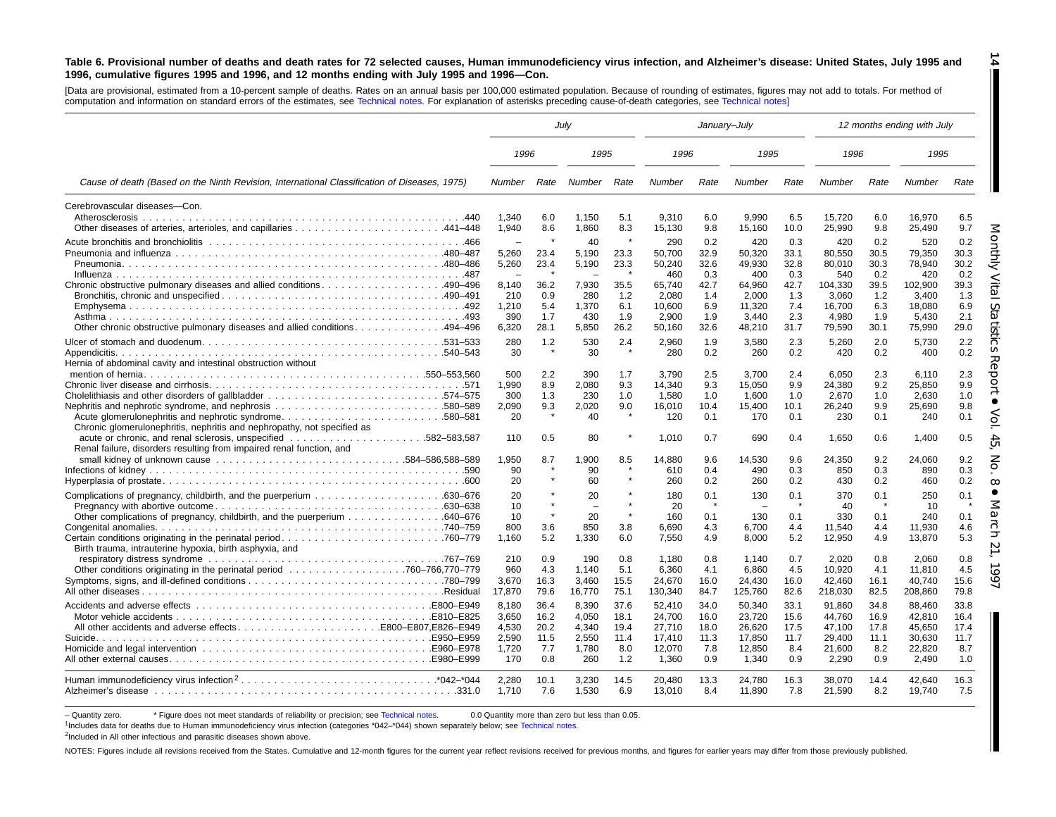#### Table 6. Provisional number of deaths and death rates for 72 selected causes, Human immunodeficiency virus infection, and Alzheimer's disease: United States, July 1995 and 1996, cumulative figures 1995 and 1996, and 12 months ending with July 1995 and 1996-Con.

[Data are provisional, estimated from <sup>a</sup> 10-percent sample of deaths. Rates on an annual basis per 100,000 estimated population. Because of rounding of estimates, figures may not add to totals. For method of computation and information on standard errors of the estimates, see [Technical](#page-16-0) notes. For explanation of asterisks preceding cause-of-death categories, see [Technical](#page-16-0) notes]

|                                                                                                                                                                                                                                |                                                     |                                            | July                                             |                                            |                                                         |                                            | January-July                                            |                                            |                                                         |                                            | 12 months ending with July                              |                                            |
|--------------------------------------------------------------------------------------------------------------------------------------------------------------------------------------------------------------------------------|-----------------------------------------------------|--------------------------------------------|--------------------------------------------------|--------------------------------------------|---------------------------------------------------------|--------------------------------------------|---------------------------------------------------------|--------------------------------------------|---------------------------------------------------------|--------------------------------------------|---------------------------------------------------------|--------------------------------------------|
|                                                                                                                                                                                                                                | 1996                                                |                                            | 1995                                             |                                            | 1996                                                    |                                            | 1995                                                    |                                            | 1996                                                    |                                            | 1995                                                    |                                            |
| Cause of death (Based on the Ninth Revision, International Classification of Diseases, 1975)                                                                                                                                   | Number                                              | Rate                                       | Number                                           | Rate                                       | Number                                                  | Rate                                       | Number                                                  | Rate                                       | Number                                                  | Rate                                       | Number                                                  | Rate                                       |
| Cerebrovascular diseases-Con.<br>Atherosclerosis                                                                                                                                                                               | 1.340<br>1,940                                      | 6.0<br>8.6                                 | 1.150<br>1,860                                   | 5.1<br>8.3                                 | 9.310<br>15,130                                         | 6.0<br>9.8                                 | 9.990<br>15,160                                         | 6.5<br>10.0                                | 15.720<br>25,990                                        | 6.0<br>9.8                                 | 16.970<br>25,490                                        | 6.5<br>9.7                                 |
| Chronic obstructive pulmonary diseases and allied conditions490-496                                                                                                                                                            | 5,260<br>5,260<br>$\overline{\phantom{m}}$<br>8.140 | 23.4<br>23.4<br>36.2                       | 40<br>5,190<br>5,190<br>7.930                    | $\star$<br>23.3<br>23.3<br>35.5            | 290<br>50,700<br>50,240<br>460<br>65.740                | 0.2<br>32.9<br>32.6<br>0.3<br>42.7         | 420<br>50,320<br>49,930<br>400<br>64,960                | 0.3<br>33.1<br>32.8<br>0.3<br>42.7         | 420<br>80,550<br>80,010<br>540<br>104,330               | 0.2<br>30.5<br>30.3<br>0.2<br>39.5         | 520<br>79,350<br>78.940<br>420<br>102,900               | 0.2<br>30.3<br>30.2<br>0.2<br>39.3         |
| 0ther chronic obstructive pulmonary diseases and allied conditions494–496                                                                                                                                                      | 210<br>1,210<br>390<br>6,320                        | 0.9<br>5.4<br>1.7<br>28.1                  | 280<br>1,370<br>430<br>5,850                     | 1.2<br>6.1<br>1.9<br>26.2                  | 2.080<br>10,600<br>2,900<br>50,160                      | 1.4<br>6.9<br>1.9<br>32.6                  | 2,000<br>11,320<br>3,440<br>48,210                      | 1.3<br>7.4<br>2.3<br>31.7                  | 3.060<br>16,700<br>4,980<br>79,590                      | 1.2<br>6.3<br>1.9<br>30.1                  | 3.400<br>18,080<br>5.430<br>75,990                      | 1.3<br>6.9<br>2.1<br>29.0                  |
| Hernia of abdominal cavity and intestinal obstruction without                                                                                                                                                                  | 280<br>30                                           | 1.2                                        | 530<br>30                                        | 2.4                                        | 2,960<br>280                                            | 1.9<br>0.2                                 | 3,580<br>260                                            | 2.3<br>0.2                                 | 5,260<br>420                                            | 2.0<br>0.2                                 | 5,730<br>400                                            | 2.2<br>0.2                                 |
| Chronic glomerulonephritis, nephritis and nephropathy, not specified as                                                                                                                                                        | 500<br>1,990<br>300<br>2,090<br>20<br>110           | 2.2<br>8.9<br>1.3<br>9.3<br>0.5            | 390<br>2,080<br>230<br>2,020<br>40<br>80         | 1.7<br>9.3<br>1.0<br>9.0<br>$\star$        | 3.790<br>14,340<br>1,580<br>16,010<br>120<br>1,010      | 2.5<br>9.3<br>1.0<br>10.4<br>0.1<br>0.7    | 3.700<br>15,050<br>1,600<br>15,400<br>170<br>690        | 2.4<br>9.9<br>1.0<br>10.1<br>0.1<br>0.4    | 6.050<br>24,380<br>2,670<br>26.240<br>230<br>1,650      | 2.3<br>9.2<br>1.0<br>9.9<br>0.1<br>0.6     | 6.110<br>25,850<br>2,630<br>25.690<br>240<br>1,400      | 2.3<br>9.9<br>1.0<br>9.8<br>0.1<br>0.5     |
| Renal failure, disorders resulting from impaired renal function, and                                                                                                                                                           | 1,950<br>90<br>20                                   | 8.7                                        | 1,900<br>90<br>60                                | 8.5                                        | 14,880<br>610<br>260                                    | 9.6<br>0.4<br>0.2                          | 14,530<br>490<br>260                                    | 9.6<br>0.3<br>0.2                          | 24,350<br>850<br>430                                    | 9.2<br>0.3<br>0.2                          | 24,060<br>890<br>460                                    | 9.2<br>0.3<br>0.2                          |
| Other complications of pregnancy, childbirth, and the puerperium 640–676<br>Birth trauma, intrauterine hypoxia, birth asphyxia, and                                                                                            | 20<br>10<br>10<br>800<br>1.160                      | 3.6<br>5.2                                 | 20<br>20<br>850<br>1,330                         | $\star$<br>3.8<br>6.0                      | 180<br>20<br>160<br>6,690<br>7,550                      | 0.1<br>0.1<br>4.3<br>4.9                   | 130<br>130<br>6.700<br>8,000                            | 0.1<br>0.1<br>4.4<br>5.2                   | 370<br>40<br>330<br>11.540<br>12,950                    | 0.1<br>0.1<br>4.4<br>4.9                   | 250<br>10<br>240<br>11.930<br>13,870                    | 0.1<br>0.1<br>4.6<br>5.3                   |
| respiratory distress syndrome contact and contact the contact of the contact of the contact of the contact of the contact of the contact of the contact of the contact of the contact of the contact of the contact of the con | 210<br>960<br>3,670<br>17,870                       | 0.9<br>4.3<br>16.3<br>79.6                 | 190<br>1.140<br>3.460<br>16,770                  | 0.8<br>5.1<br>15.5<br>75.1                 | 1,180<br>6,360<br>24,670<br>130,340                     | 0.8<br>4.1<br>16.0<br>84.7                 | 1.140<br>6,860<br>24,430<br>125,760                     | 0.7<br>4.5<br>16.0<br>82.6                 | 2,020<br>10,920<br>42.460<br>218,030                    | 0.8<br>4.1<br>16.1<br>82.5                 | 2.060<br>11,810<br>40.740<br>208,860                    | 0.8<br>4.5<br>15.6<br>79.8                 |
| All other accidents and adverse effectsE800–E807.E826–E949                                                                                                                                                                     | 8.180<br>3,650<br>4.530<br>2.590<br>1,720<br>170    | 36.4<br>16.2<br>20.2<br>11.5<br>7.7<br>0.8 | 8.390<br>4,050<br>4.340<br>2,550<br>1,780<br>260 | 37.6<br>18.1<br>19.4<br>11.4<br>8.0<br>1.2 | 52.410<br>24,700<br>27.710<br>17,410<br>12,070<br>1,360 | 34.0<br>16.0<br>18.0<br>11.3<br>7.8<br>0.9 | 50.340<br>23,720<br>26.620<br>17,850<br>12,850<br>1,340 | 33.1<br>15.6<br>17.5<br>11.7<br>8.4<br>0.9 | 91.860<br>44,760<br>47.100<br>29,400<br>21,600<br>2,290 | 34.8<br>16.9<br>17.8<br>11.1<br>8.2<br>0.9 | 88.460<br>42,810<br>45.650<br>30,630<br>22,820<br>2,490 | 33.8<br>16.4<br>17.4<br>11.7<br>8.7<br>1.0 |
|                                                                                                                                                                                                                                | 2.280<br>1,710                                      | 10.1<br>7.6                                | 3.230<br>1,530                                   | 14.5<br>6.9                                | 20.480<br>13,010                                        | 13.3<br>8.4                                | 24.780<br>11,890                                        | 16.3<br>7.8                                | 38.070<br>21,590                                        | 14.4<br>8.2                                | 42.640<br>19,740                                        | 16.3<br>7.5                                |

- Quantity zero. \* Figure does not meet standards of reliability or precision; see [Technical](#page-16-0) notes. 0.0 Quantity more than zero but less than 0.05.

1Includes data for deaths due to Human immunodeficiency virus infection (categories \*042–\*044) shown separately below; see [Technical](#page-16-0) notes.

<sup>2</sup>Included in All other infectious and parasitic diseases shown above.

NOTES: Figures include all revisions received from the States. Cumulative and 12-month figures for the current year reflect revisions received for previous months, and figures for earlier years may differ from those previo

**14** I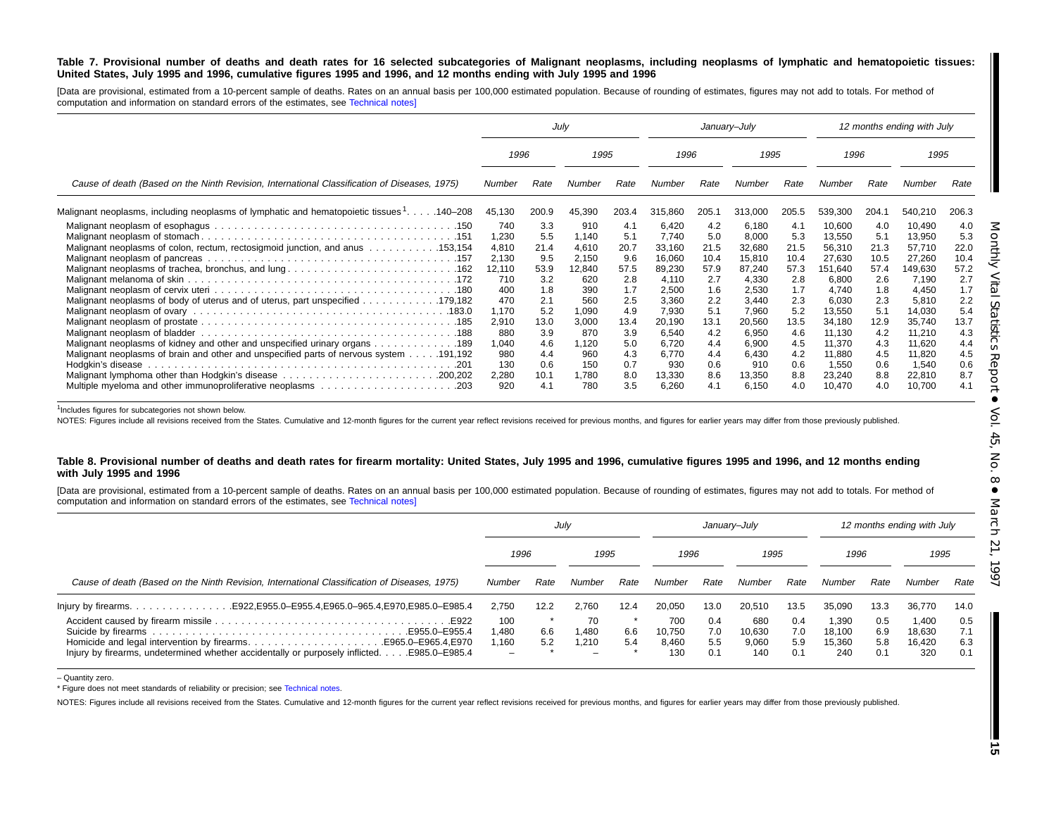#### Table 7. Provisional number of deaths and death rates for 16 selected subcategories of Malignant neoplasms, including neoplasms of lymphatic and hematopoietic tissues: United States, July 1995 and 1996, cumulative figures 1995 and 1996, and 12 months ending with July 1995 and 1996

[Data are provisional, estimated from a 10-percent sample of deaths. Rates on an annual basis per 100,000 estimated population. Because of rounding of estimates, figures may not add to totals. For method of computation and information on standard errors of the estimates, see [Technical](#page-16-0) notes]

|                                                                                                                                                                                                                                                                                                                                        |                                                                                                        |                                                                                            | July                                                                                                   |                                                                                            |                                                                                                                       |                                                                                             | January-July                                                                                                          |                                                                                             |                                                                                                                              |                                                                                             | 12 months ending with July                                                                                                   |                                                                                             |
|----------------------------------------------------------------------------------------------------------------------------------------------------------------------------------------------------------------------------------------------------------------------------------------------------------------------------------------|--------------------------------------------------------------------------------------------------------|--------------------------------------------------------------------------------------------|--------------------------------------------------------------------------------------------------------|--------------------------------------------------------------------------------------------|-----------------------------------------------------------------------------------------------------------------------|---------------------------------------------------------------------------------------------|-----------------------------------------------------------------------------------------------------------------------|---------------------------------------------------------------------------------------------|------------------------------------------------------------------------------------------------------------------------------|---------------------------------------------------------------------------------------------|------------------------------------------------------------------------------------------------------------------------------|---------------------------------------------------------------------------------------------|
|                                                                                                                                                                                                                                                                                                                                        | 1996                                                                                                   |                                                                                            | 1995                                                                                                   |                                                                                            | 1996                                                                                                                  |                                                                                             | 1995                                                                                                                  |                                                                                             | 1996                                                                                                                         |                                                                                             | 1995                                                                                                                         |                                                                                             |
| Cause of death (Based on the Ninth Revision, International Classification of Diseases, 1975)                                                                                                                                                                                                                                           | Number                                                                                                 | Rate                                                                                       | Number                                                                                                 | Rate                                                                                       | Number                                                                                                                | Rate                                                                                        | Number                                                                                                                | Rate                                                                                        | Number                                                                                                                       | Rate                                                                                        | Number                                                                                                                       | Rate                                                                                        |
| Malignant neoplasms, including neoplasms of lymphatic and hematopoietic tissues 1. 140–208                                                                                                                                                                                                                                             | 45,130                                                                                                 | 200.9                                                                                      | 45,390                                                                                                 | 203.4                                                                                      | 315,860                                                                                                               | 205.1                                                                                       | 313,000                                                                                                               | 205.5                                                                                       | 539,300                                                                                                                      | 204.1                                                                                       | 540,210                                                                                                                      | 206.3                                                                                       |
| Malignant neoplasms of colon, rectum, rectosigmoid junction, and anus 153,154<br>Malignant neoplasms of body of uterus and of uterus, part unspecified 179,182<br>Malignant neoplasms of kidney and other and unspecified urinary organs 189<br>Malignant neoplasms of brain and other and unspecified parts of nervous system 191,192 | 740<br>1,230<br>4,810<br>2,130<br>12,110<br>710<br>400<br>470<br>1,170<br>2,910<br>880<br>1,040<br>980 | 3.3<br>5.5<br>21.4<br>9.5<br>53.9<br>3.2<br>1.8<br>2.1<br>5.2<br>13.0<br>3.9<br>4.6<br>4.4 | 910<br>1,140<br>4,610<br>2,150<br>12,840<br>620<br>390<br>560<br>1,090<br>3,000<br>870<br>1,120<br>960 | 4.1<br>5.1<br>20.7<br>9.6<br>57.5<br>2.8<br>1.7<br>2.5<br>4.9<br>13.4<br>3.9<br>5.0<br>4.3 | 6,420<br>7,740<br>33,160<br>16,060<br>89,230<br>4,110<br>2,500<br>3,360<br>7,930<br>20,190<br>6,540<br>6,720<br>6,770 | 4.2<br>5.0<br>21.5<br>10.4<br>57.9<br>2.7<br>1.6<br>2.2<br>5.1<br>13.1<br>4.2<br>4.4<br>4.4 | 6,180<br>8,000<br>32,680<br>15,810<br>87,240<br>4,330<br>2,530<br>3.440<br>7,960<br>20,560<br>6,950<br>6,900<br>6,430 | 4.1<br>5.3<br>21.5<br>10.4<br>57.3<br>2.8<br>1.7<br>2.3<br>5.2<br>13.5<br>4.6<br>4.5<br>4.2 | 10,600<br>13,550<br>56,310<br>27,630<br>151,640<br>6,800<br>4,740<br>6,030<br>13,550<br>34,180<br>11.130<br>11,370<br>11,880 | 4.0<br>5.1<br>21.3<br>10.5<br>57.4<br>2.6<br>1.8<br>2.3<br>5.1<br>12.9<br>4.2<br>4.3<br>4.5 | 10,490<br>13,950<br>57,710<br>27,260<br>149,630<br>7,190<br>4,450<br>5,810<br>14,030<br>35,740<br>11,210<br>11,620<br>11,820 | 4.0<br>5.3<br>22.0<br>10.4<br>57.2<br>2.7<br>1.7<br>2.2<br>5.4<br>13.7<br>4.3<br>4.4<br>4.5 |
|                                                                                                                                                                                                                                                                                                                                        | 130<br>2,280<br>920                                                                                    | 0.6<br>10.1<br>4.1                                                                         | 150<br>1,780<br>780                                                                                    | 0.7<br>8.0<br>3.5                                                                          | 930<br>13,330<br>6,260                                                                                                | 0.6<br>8.6<br>4.1                                                                           | 910<br>13,350<br>6,150                                                                                                | 0.6<br>8.8<br>4.0                                                                           | 1,550<br>23,240<br>10,470                                                                                                    | 0.6<br>8.8<br>4.0                                                                           | 1,540<br>22,810<br>10,700                                                                                                    | 0.6<br>8.7<br>4.1                                                                           |

<sup>1</sup>Includes figures for subcategories not shown below.

NOTES: Figures include all revisions received from the States. Cumulative and 12-month figures for the current year reflect revisions received for previous months, and figures for earlier years may differ from those previo

#### Table 8. Provisional number of deaths and death rates for firearm mortality: United States, July 1995 and 1996, cumulative figures 1995 and 1996, and 12 months ending **with July 1995 and 1996**

[Data are provisional, estimated from a 10-percent sample of deaths. Rates on an annual basis per 100,000 estimated population. Because of rounding of estimates, figures may not add to totals. For method of computation and information on standard errors of the estimates, see [Technical](#page-16-0) notes]

|                                                                                                                                                                  | July         |      |             | January–July |               |            |               | 12 months ending with July |                 |            |                 |            |
|------------------------------------------------------------------------------------------------------------------------------------------------------------------|--------------|------|-------------|--------------|---------------|------------|---------------|----------------------------|-----------------|------------|-----------------|------------|
|                                                                                                                                                                  | 1996         |      | 1995        |              | 1996          |            | 1995          |                            | 1996            |            | 1995            |            |
| Cause of death (Based on the Ninth Revision, International Classification of Diseases, 1975)                                                                     | Number       | Rate | Number      | Rate         | Number        | Rate       | Number        | Rate                       | Number          | Rate       | Number          | Rate       |
|                                                                                                                                                                  | 2.750        | 12.2 | 2.760       | 12.4         | 20.050        | 13.0       | 20.510        | 13.5                       | 35.090          | 13.3       | 36,770          | 14.0       |
|                                                                                                                                                                  | 100<br>1.480 | 6.6  | 70<br>1.480 | 6.6          | 700<br>10.750 | 0.4<br>7.0 | 680<br>10.630 | 0.4<br>7.0                 | 1.390<br>18.100 | 0.5<br>6.9 | 1.400<br>18.630 | 0.5<br>7.1 |
| Homicide and legal intervention by firearmsE965.0–E965.4, E970<br>Injury by firearms, undetermined whether accidentally or purposely inflicted.<br>E985.0-E985.4 | 1.160<br>-   | 5.2  | 1,210<br>-  | 5.4          | 8,460<br>130  | 5.5<br>0.1 | 9,060<br>140  | 5.9<br>0.1                 | 15,360<br>240   | 5.8<br>0.1 | 16.420<br>320   | 6.3<br>0.1 |

– Quantity zero.

\* Figure does not meet standards of reliability or precision; see [Technical](#page-16-0) notes.

NOTES: Figures include all revisions received from the States. Cumulative and 12-month figures for the current year reflect revisions received for previous months, and figures for earlier years may differ from those previo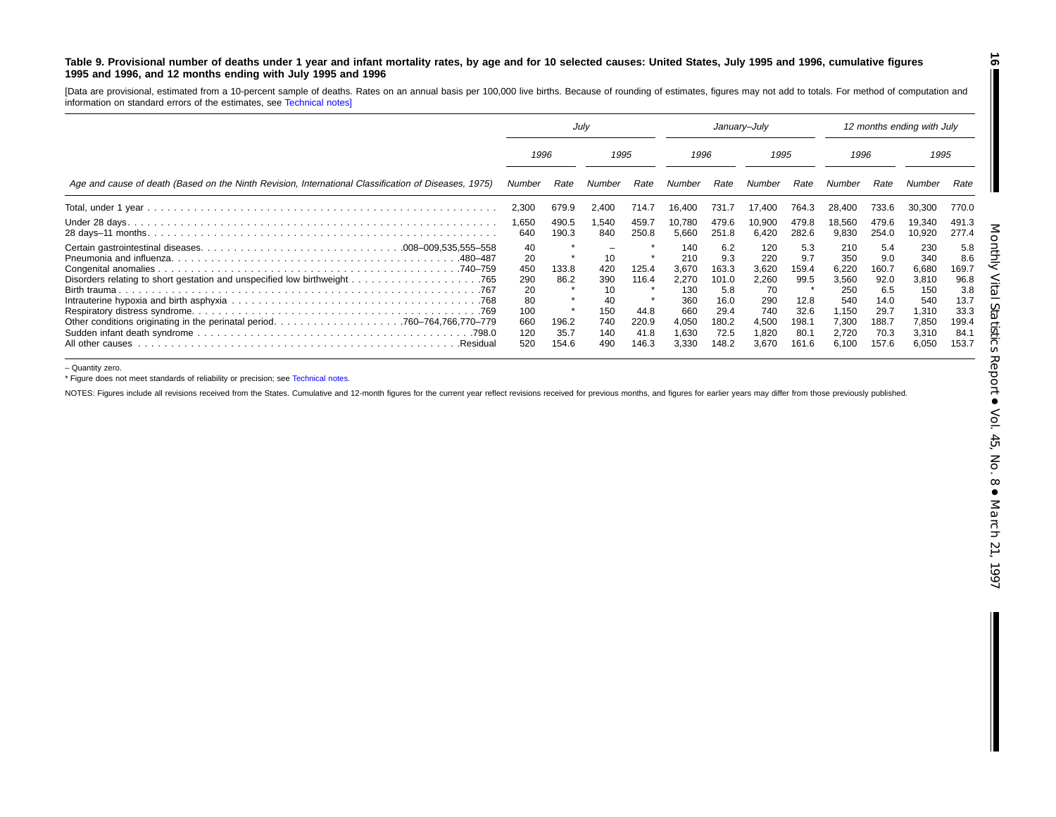#### Table 9. Provisional number of deaths under 1 year and infant mortality rates, by age and for 10 selected causes: United States, July 1995 and 1996, cumulative figures **1995 and 1996, and 12 months ending with July 1995 and 1996**

[Data are provisional, estimated from <sup>a</sup> 10-percent sample of deaths. Rates on an annual basis per 100,000 live births. Because of rounding of estimates, figures may not add to totals. For method of computation and information on standard errors of the estimates, see [Technical](#page-16-0) notes]

|                                                                                                      | Julv                                                           |                                         |                                                          | January-July                                     |                                                                              |                                                                              |                                                                             | 12 months ending with July                                            |                                                                                |                                                                              |                                                                                |                                                                              |
|------------------------------------------------------------------------------------------------------|----------------------------------------------------------------|-----------------------------------------|----------------------------------------------------------|--------------------------------------------------|------------------------------------------------------------------------------|------------------------------------------------------------------------------|-----------------------------------------------------------------------------|-----------------------------------------------------------------------|--------------------------------------------------------------------------------|------------------------------------------------------------------------------|--------------------------------------------------------------------------------|------------------------------------------------------------------------------|
|                                                                                                      | 1996                                                           |                                         | 1995                                                     |                                                  | 1996                                                                         |                                                                              | 1995                                                                        |                                                                       | 1996                                                                           |                                                                              | 1995                                                                           |                                                                              |
| Age and cause of death (Based on the Ninth Revision, International Classification of Diseases, 1975) | Number                                                         | Rate                                    | Number                                                   | Rate                                             | Number                                                                       | Rate                                                                         | Number                                                                      | Rate                                                                  | Number                                                                         | Rate                                                                         |                                                                                | Rate                                                                         |
|                                                                                                      | 2,300                                                          | 679.9                                   | 2,400                                                    | 714.7                                            | 16,400                                                                       | 731.7                                                                        | 17.400                                                                      | 764.3                                                                 | 28.400                                                                         | 733.6                                                                        | 30,300                                                                         | 770.0                                                                        |
|                                                                                                      | 1,650<br>640                                                   | 490.5<br>190.3                          | 1,540<br>840                                             | 459.7<br>250.8                                   | 10,780<br>5,660                                                              | 479.6<br>251.8                                                               | 10,900<br>6,420                                                             | 479.8<br>282.6                                                        | 18,560<br>9,830                                                                | 479.6<br>254.0                                                               | 19,340<br>10,920                                                               | 491.3<br>277.4                                                               |
| .480–487<br>Birth trauma.<br>All other causes<br>.Residual                                           | 40<br>20<br>450<br>290<br>20<br>80<br>100<br>660<br>120<br>520 | 133.8<br>86.2<br>196.2<br>35.7<br>154.6 | 10<br>420<br>390<br>10<br>40<br>150<br>740<br>140<br>490 | 125.4<br>116.4<br>44.8<br>220.9<br>41.8<br>146.3 | 140<br>210<br>3.670<br>2,270<br>130<br>360<br>660<br>4,050<br>1,630<br>3,330 | 6.2<br>9.3<br>163.3<br>101.0<br>5.8<br>16.0<br>29.4<br>180.2<br>72.5<br>48.2 | 120<br>220<br>3.620<br>2,260<br>70<br>290<br>740<br>4,500<br>1,820<br>3,670 | 5.3<br>9.7<br>159.4<br>99.5<br>12.8<br>32.6<br>198.1<br>80.7<br>161.6 | 210<br>350<br>6.220<br>3,560<br>250<br>540<br>1,150<br>7,300<br>2.720<br>6.100 | 5.4<br>9.0<br>160.7<br>92.0<br>6.5<br>14.0<br>29.7<br>188.7<br>70.3<br>157.6 | 230<br>340<br>6,680<br>3,810<br>150<br>540<br>1,310<br>7,850<br>3,310<br>6,050 | 5.8<br>8.6<br>169.7<br>96.8<br>3.8<br>13.7<br>33.3<br>199.4<br>84.7<br>153.7 |

– Quantity zero.

\* Figure does not meet standards of reliability or precision; see [Technical](#page-16-0) notes.

NOTES: Figures include all revisions received from the States. Cumulative and 12-month figures for the current year reflect revisions received for previous months, and figures for earlier years may differ from those previo

**16**

 $\blacksquare$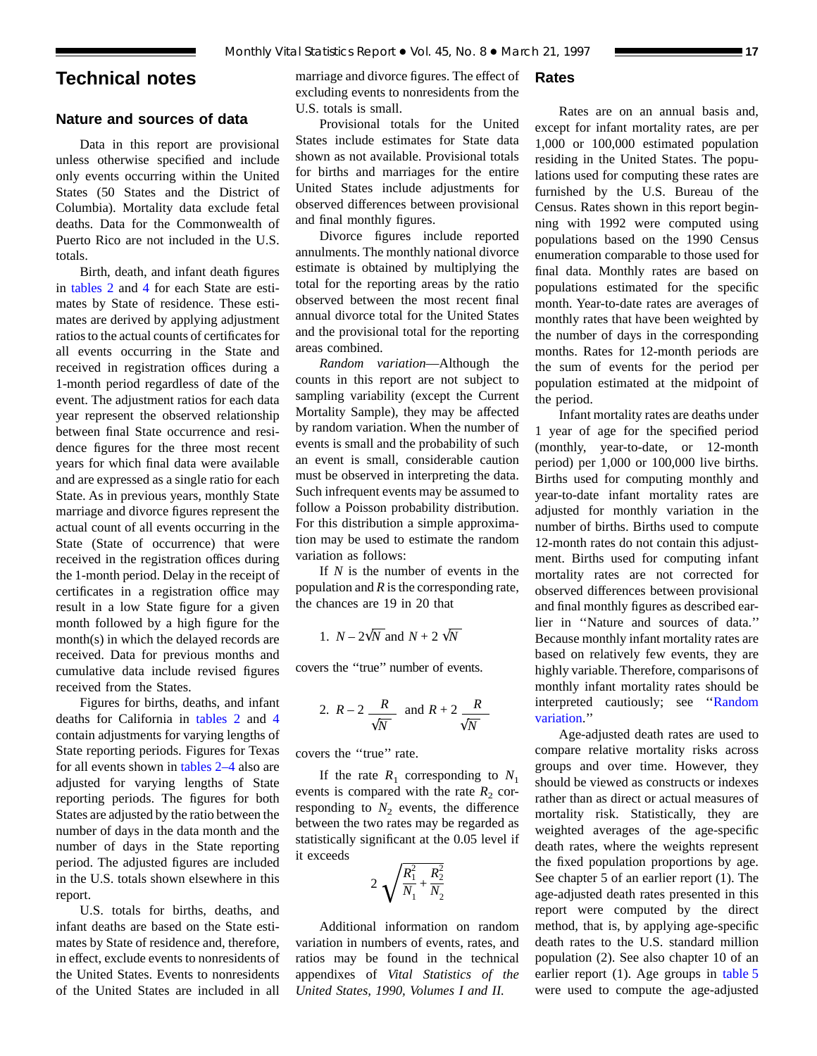## <span id="page-16-0"></span>**Technical notes**

## **Nature and sources of data**

Data in this report are provisional unless otherwise specified and include only events occurring within the United States (50 States and the District of Columbia). Mortality data exclude fetal deaths. Data for the Commonwealth of Puerto Rico are not included in the U.S. totals.

Birth, death, and infant death figures in [tables 2](#page-6-0) and [4](#page-8-0) for each State are estimates by State of residence. These estimates are derived by applying adjustment ratios to the actual counts of certificates for all events occurring in the State and received in registration offices during a 1-month period regardless of date of the event. The adjustment ratios for each data year represent the observed relationship between final State occurrence and residence figures for the three most recent years for which final data were available and are expressed as a single ratio for each State. As in previous years, monthly State marriage and divorce figures represent the actual count of all events occurring in the State (State of occurrence) that were received in the registration offices during the 1-month period. Delay in the receipt of certificates in a registration office may result in a low State figure for a given month followed by a high figure for the month(s) in which the delayed records are received. Data for previous months and cumulative data include revised figures received from the States.

Figures for births, deaths, and infant deaths for California in [tables 2](#page-6-0) and [4](#page-8-0) contain adjustments for varying lengths of State reporting periods. Figures for Texas for all events shown in [tables 2–4](#page-6-0) also are adjusted for varying lengths of State reporting periods. The figures for both States are adjusted by the ratio between the number of days in the data month and the number of days in the State reporting period. The adjusted figures are included in the U.S. totals shown elsewhere in this report.

U.S. totals for births, deaths, and infant deaths are based on the State estimates by State of residence and, therefore, in effect, exclude events to nonresidents of the United States. Events to nonresidents of the United States are included in all

marriage and divorce figures. The effect of excluding events to nonresidents from the U.S. totals is small.

Provisional totals for the United States include estimates for State data shown as not available. Provisional totals for births and marriages for the entire United States include adjustments for observed differences between provisional and final monthly figures.

Divorce figures include reported annulments. The monthly national divorce estimate is obtained by multiplying the total for the reporting areas by the ratio observed between the most recent final annual divorce total for the United States and the provisional total for the reporting areas combined.

*Random variation*—Although the counts in this report are not subject to sampling variability (except the Current Mortality Sample), they may be affected by random variation. When the number of events is small and the probability of such an event is small, considerable caution must be observed in interpreting the data. Such infrequent events may be assumed to follow a Poisson probability distribution. For this distribution a simple approximation may be used to estimate the random variation as follows:

If *N* is the number of events in the population and *R* is the corresponding rate, the chances are 19 in 20 that

1. 
$$
N - 2\sqrt{N}
$$
 and  $N + 2\sqrt{N}$ 

covers the ''true'' number of events.

2. 
$$
R-2
$$
  $\frac{R}{\sqrt{N}}$  and  $R+2$   $\frac{R}{\sqrt{N}}$ 

covers the ''true'' rate.

If the rate  $R_1$  corresponding to  $N_1$ events is compared with the rate  $R_2$  corresponding to  $N_2$  events, the difference between the two rates may be regarded as statistically significant at the 0.05 level if it exceeds

$$
2\sqrt{\frac{R_1^2}{N_1} + \frac{R_2^2}{N_2}}
$$

Additional information on random variation in numbers of events, rates, and ratios may be found in the technical appendixes of *Vital Statistics of the United States, 1990, Volumes I and II.*

## **Rates**

Rates are on an annual basis and, except for infant mortality rates, are per 1,000 or 100,000 estimated population residing in the United States. The populations used for computing these rates are furnished by the U.S. Bureau of the Census. Rates shown in this report beginning with 1992 were computed using populations based on the 1990 Census enumeration comparable to those used for final data. Monthly rates are based on populations estimated for the specific month. Year-to-date rates are averages of monthly rates that have been weighted by the number of days in the corresponding months. Rates for 12-month periods are the sum of events for the period per population estimated at the midpoint of the period.

Infant mortality rates are deaths under 1 year of age for the specified period (monthly, year-to-date, or 12-month period) per 1,000 or 100,000 live births. Births used for computing monthly and year-to-date infant mortality rates are adjusted for monthly variation in the number of births. Births used to compute 12-month rates do not contain this adjustment. Births used for computing infant mortality rates are not corrected for observed differences between provisional and final monthly figures as described earlier in ''Nature and sources of data.'' Because monthly infant mortality rates are based on relatively few events, they are highly variable. Therefore, comparisons of monthly infant mortality rates should be interpreted cautiously; see ''Random variation.''

Age-adjusted death rates are used to compare relative mortality risks across groups and over time. However, they should be viewed as constructs or indexes rather than as direct or actual measures of mortality risk. Statistically, they are weighted averages of the age-specific death rates, where the weights represent the fixed population proportions by age. See chapter 5 of an earlier report (1). The age-adjusted death rates presented in this report were computed by the direct method, that is, by applying age-specific death rates to the U.S. standard million population (2). See also chapter 10 of an earlier report (1). Age groups in [table 5](#page-9-0) were used to compute the age-adjusted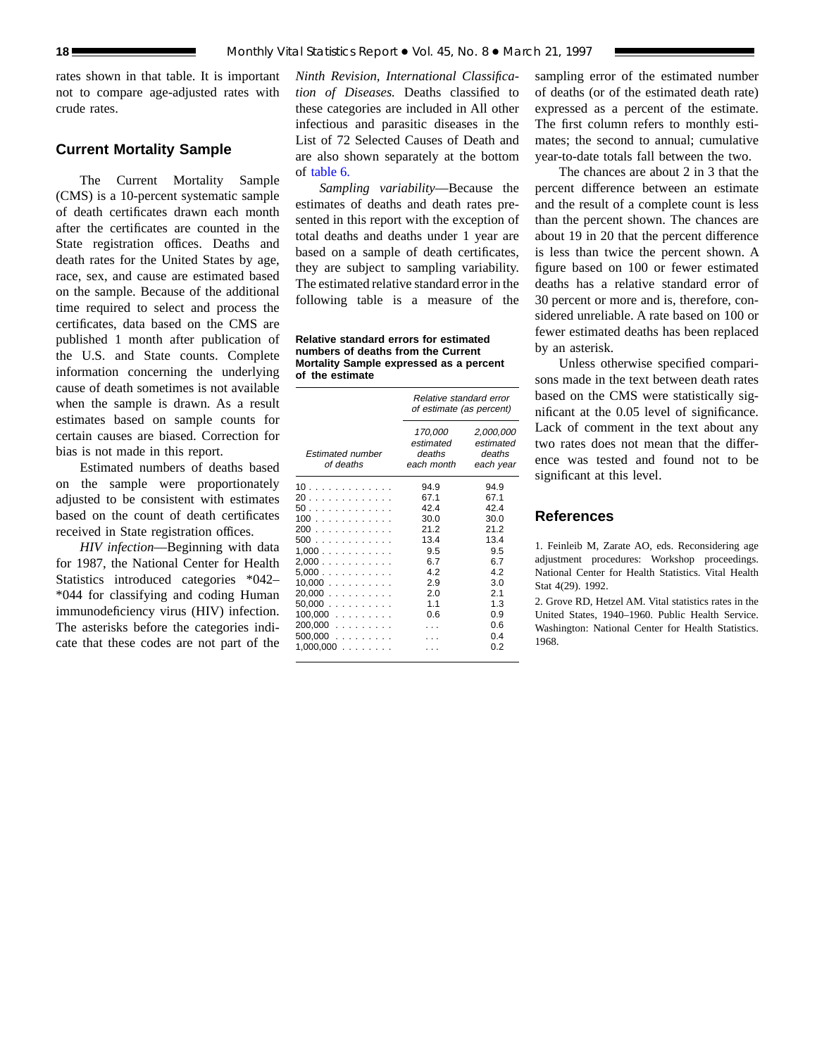rates shown in that table. It is important not to compare age-adjusted rates with crude rates.

### **Current Mortality Sample**

The Current Mortality Sample (CMS) is a 10-percent systematic sample of death certificates drawn each month after the certificates are counted in the State registration offices. Deaths and death rates for the United States by age, race, sex, and cause are estimated based on the sample. Because of the additional time required to select and process the certificates, data based on the CMS are published 1 month after publication of the U.S. and State counts. Complete information concerning the underlying cause of death sometimes is not available when the sample is drawn. As a result estimates based on sample counts for certain causes are biased. Correction for bias is not made in this report.

Estimated numbers of deaths based on the sample were proportionately adjusted to be consistent with estimates based on the count of death certificates received in State registration offices.

*HIV infection*—Beginning with data for 1987, the National Center for Health Statistics introduced categories \*042– \*044 for classifying and coding Human immunodeficiency virus (HIV) infection. The asterisks before the categories indicate that these codes are not part of the

*Ninth Revision, International Classification of Diseases.* Deaths classified to these categories are included in All other infectious and parasitic diseases in the List of 72 Selected Causes of Death and are also shown separately at the bottom of [table 6.](#page-12-0)

*Sampling variability*—Because the estimates of deaths and death rates presented in this report with the exception of total deaths and deaths under 1 year are based on a sample of death certificates, they are subject to sampling variability. The estimated relative standard error in the following table is a measure of the

**Relative standard errors for estimated numbers of deaths from the Current Mortality Sample expressed as a percent of the estimate**

|                                                                                                                                      | Relative standard error<br>of estimate (as percent)                                         |                                                                                                         |  |  |  |  |  |  |
|--------------------------------------------------------------------------------------------------------------------------------------|---------------------------------------------------------------------------------------------|---------------------------------------------------------------------------------------------------------|--|--|--|--|--|--|
| <b>Estimated number</b><br>of deaths                                                                                                 | 170,000<br>estimated<br>deaths<br>each month                                                | 2,000,000<br>estimated<br>deaths<br>each year                                                           |  |  |  |  |  |  |
| 10<br>20<br>50.<br>100<br>200<br>500<br>1.000<br>2,000<br>5,000<br>10,000<br>20,000<br>50.000<br>$100,000$<br>$200,000$<br>$500,000$ | 94.9<br>67.1<br>424<br>30.0<br>212<br>13.4<br>9.5<br>6.7<br>4.2<br>2.9<br>2.0<br>1.1<br>0.6 | 94.9<br>67.1<br>424<br>30.0<br>212<br>13.4<br>9.5<br>6.7<br>42<br>3.0<br>2.1<br>1.3<br>0.9<br>0.6<br>04 |  |  |  |  |  |  |
| $1,000,000$                                                                                                                          |                                                                                             | 0 2                                                                                                     |  |  |  |  |  |  |

sampling error of the estimated number of deaths (or of the estimated death rate) expressed as a percent of the estimate. The first column refers to monthly estimates; the second to annual; cumulative year-to-date totals fall between the two.

The chances are about 2 in 3 that the percent difference between an estimate and the result of a complete count is less than the percent shown. The chances are about 19 in 20 that the percent difference is less than twice the percent shown. A figure based on 100 or fewer estimated deaths has a relative standard error of 30 percent or more and is, therefore, considered unreliable. A rate based on 100 or fewer estimated deaths has been replaced by an asterisk.

Unless otherwise specified comparisons made in the text between death rates based on the CMS were statistically significant at the 0.05 level of significance. Lack of comment in the text about any two rates does not mean that the difference was tested and found not to be significant at this level.

## **References**

1. Feinleib M, Zarate AO, eds. Reconsidering age adjustment procedures: Workshop proceedings. National Center for Health Statistics. Vital Health Stat 4(29). 1992.

2. Grove RD, Hetzel AM. Vital statistics rates in the United States, 1940–1960. Public Health Service. Washington: National Center for Health Statistics. 1968.